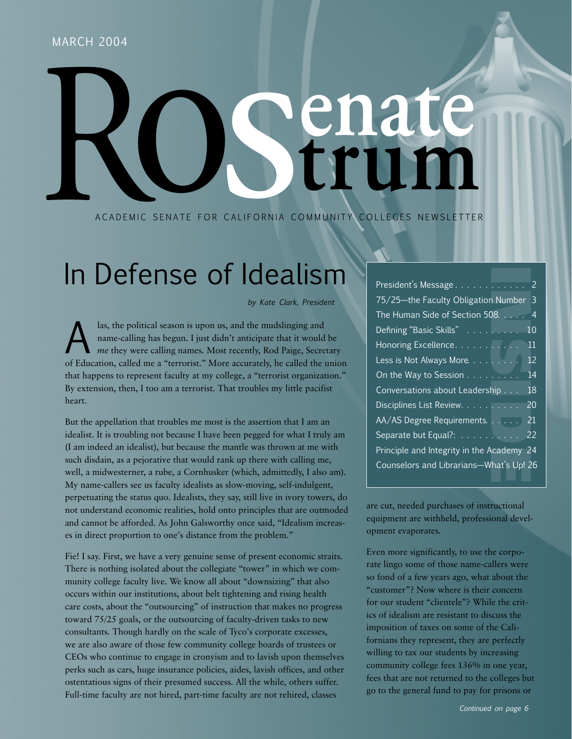# MARCH 2004 CALIFORNIA CO

A CADEMIC SENATE FOR CALIFORNIA COMMUNITY COLLEGES NEWSLETTER

# In Defense of Idealism

*by Kate Clark, President*

las, the political season is upon us, and the mudslinging and<br>name-calling has begun. I just didn't anticipate that it would<br>me they were calling names. Most recently, Rod Paige, Secre<br>of Education, called me a "terrorist" name-calling has begun. I just didn't anticipate that it would be *me* they were calling names. Most recently, Rod Paige, Secretary of Education, called me a "terrorist." More accurately, he called the union that happens to represent faculty at my college, a "terrorist organization." By extension, then, I too am a terrorist. That troubles my little pacifist heart.

But the appellation that troubles me most is the assertion that I am an idealist. It is troubling not because I have been pegged for what I truly am (I am indeed an idealist), but because the mantle was thrown at me with such disdain, as a pejorative that would rank up there with calling me, well, a midwesterner, a rube, a Cornhusker (which, admittedly, I also am). My name-callers see us faculty idealists as slow-moving, self-indulgent, perpetuating the status quo. Idealists, they say, still live in ivory towers, do not understand economic realities, hold onto principles that are outmoded and cannot be afforded. As John Galsworthy once said, "Idealism increases in direct proportion to one's distance from the problem."

Fie! I say. First, we have a very genuine sense of present economic straits. There is nothing isolated about the collegiate "tower" in which we community college faculty live. We know all about "downsizing" that also occurs within our institutions, about belt tightening and rising health care costs, about the "outsourcing" of instruction that makes no progress toward 75/25 goals, or the outsourcing of faculty-driven tasks to new consultants. Though hardly on the scale of Tyco's corporate excesses, we are also aware of those few community college boards of trustees or CEOs who continue to engage in cronyism and to lavish upon themselves perks such as cars, huge insurance policies, aides, lavish offices, and other ostentatious signs of their presumed success. All the while, others suffer. Full-time faculty are not hired, part-time faculty are not rehired, classes

| President's Message                                                                                                                                                                                                                                                                                                                                                                                                                                                                                                                                                                                                                                     | $\overline{c}$ |
|---------------------------------------------------------------------------------------------------------------------------------------------------------------------------------------------------------------------------------------------------------------------------------------------------------------------------------------------------------------------------------------------------------------------------------------------------------------------------------------------------------------------------------------------------------------------------------------------------------------------------------------------------------|----------------|
| 75/25-the Faculty Obligation Number                                                                                                                                                                                                                                                                                                                                                                                                                                                                                                                                                                                                                     | 3              |
| The Human Side of Section 508.                                                                                                                                                                                                                                                                                                                                                                                                                                                                                                                                                                                                                          | $\overline{4}$ |
| Defining "Basic Skills"                                                                                                                                                                                                                                                                                                                                                                                                                                                                                                                                                                                                                                 | 10             |
| Honoring Excellence.                                                                                                                                                                                                                                                                                                                                                                                                                                                                                                                                                                                                                                    | 11             |
| Less is Not Always More.                                                                                                                                                                                                                                                                                                                                                                                                                                                                                                                                                                                                                                | 12             |
| On the Way to Session                                                                                                                                                                                                                                                                                                                                                                                                                                                                                                                                                                                                                                   | 14             |
| Conversations about Leadership                                                                                                                                                                                                                                                                                                                                                                                                                                                                                                                                                                                                                          | 18             |
| Disciplines List Review.                                                                                                                                                                                                                                                                                                                                                                                                                                                                                                                                                                                                                                | 20             |
| AA/AS Degree Requirements.                                                                                                                                                                                                                                                                                                                                                                                                                                                                                                                                                                                                                              | 21             |
| Separate but Equal?:                                                                                                                                                                                                                                                                                                                                                                                                                                                                                                                                                                                                                                    | 22             |
| Principle and Integrity in the Academy                                                                                                                                                                                                                                                                                                                                                                                                                                                                                                                                                                                                                  | 24             |
| Counselors and Librarians-What's Up! 26                                                                                                                                                                                                                                                                                                                                                                                                                                                                                                                                                                                                                 |                |
|                                                                                                                                                                                                                                                                                                                                                                                                                                                                                                                                                                                                                                                         |                |
| e cut, needed purchases of instructional<br>uipment are withheld, professional devel-<br>ment evaporates.<br>en more significantly, to use the corpo-<br>te lingo some of those name-callers were<br>fond of a few years ago, what about the<br>ustomer"? Now where is their concern<br>r our student "clientele"? While the crit-<br>of idealism are resistant to discuss the<br>position of taxes on some of the Cali-<br>rnians they represent, they are perfectly<br>lling to tax our students by increasing<br>mmunity college fees 136% in one year,<br>es that are not returned to the colleges but<br>to the general fund to pay for prisons or |                |
| Continued on page 6                                                                                                                                                                                                                                                                                                                                                                                                                                                                                                                                                                                                                                     |                |
|                                                                                                                                                                                                                                                                                                                                                                                                                                                                                                                                                                                                                                                         |                |

are cut, needed purchases of instructional equipment are withheld, professional development evaporates.

Even more significantly, to use the corporate lingo some of those name-callers were so fond of a few years ago, what about the "customer"? Now where is their concern for our student "clientele"? While the critics of idealism are resistant to discuss the imposition of taxes on some of the Californians they represent, they are perfectly willing to tax our students by increasing community college fees 136% in one year, fees that are not returned to the colleges but go to the general fund to pay for prisons or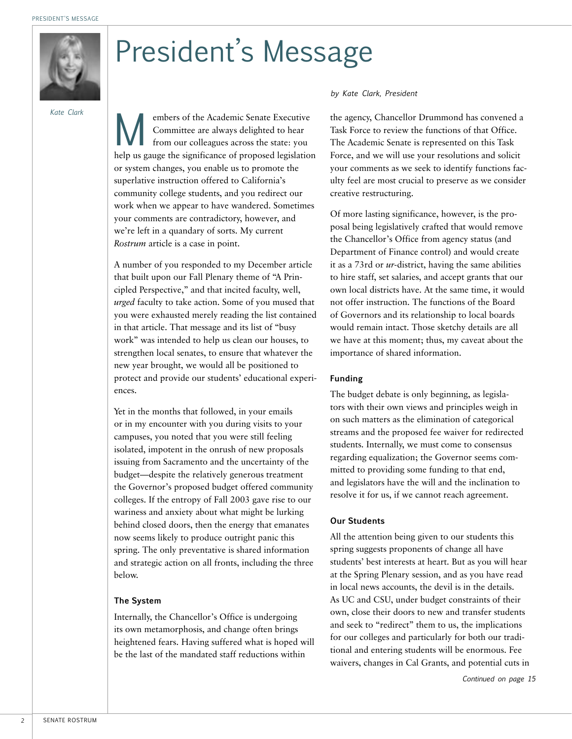

# President's Message

*Kate Clark*

embers of the Academic Senate Executive<br>Committee are always delighted to hear<br>from our colleagues across the state: you Committee are always delighted to hear from our colleagues across the state: you help us gauge the significance of proposed legislation or system changes, you enable us to promote the superlative instruction offered to California's community college students, and you redirect our work when we appear to have wandered. Sometimes your comments are contradictory, however, and we're left in a quandary of sorts. My current *Rostrum* article is a case in point.

A number of you responded to my December article that built upon our Fall Plenary theme of "A Principled Perspective," and that incited faculty, well, *urged* faculty to take action. Some of you mused that you were exhausted merely reading the list contained in that article. That message and its list of "busy work" was intended to help us clean our houses, to strengthen local senates, to ensure that whatever the new year brought, we would all be positioned to protect and provide our students' educational experiences.

Yet in the months that followed, in your emails or in my encounter with you during visits to your campuses, you noted that you were still feeling isolated, impotent in the onrush of new proposals issuing from Sacramento and the uncertainty of the budget—despite the relatively generous treatment the Governor's proposed budget offered community colleges. If the entropy of Fall 2003 gave rise to our wariness and anxiety about what might be lurking behind closed doors, then the energy that emanates now seems likely to produce outright panic this spring. The only preventative is shared information and strategic action on all fronts, including the three below.

#### **The System**

Internally, the Chancellor's Office is undergoing its own metamorphosis, and change often brings heightened fears. Having suffered what is hoped will be the last of the mandated staff reductions within

*by Kate Clark, President*

the agency, Chancellor Drummond has convened a Task Force to review the functions of that Office. The Academic Senate is represented on this Task Force, and we will use your resolutions and solicit your comments as we seek to identify functions faculty feel are most crucial to preserve as we consider creative restructuring.

Of more lasting significance, however, is the proposal being legislatively crafted that would remove the Chancellor's Office from agency status (and Department of Finance control) and would create it as a 73rd or *ur*-district, having the same abilities to hire staff, set salaries, and accept grants that our own local districts have. At the same time, it would not offer instruction. The functions of the Board of Governors and its relationship to local boards would remain intact. Those sketchy details are all we have at this moment; thus, my caveat about the importance of shared information.

#### **Funding**

The budget debate is only beginning, as legislators with their own views and principles weigh in on such matters as the elimination of categorical streams and the proposed fee waiver for redirected students. Internally, we must come to consensus regarding equalization; the Governor seems committed to providing some funding to that end, and legislators have the will and the inclination to resolve it for us, if we cannot reach agreement.

#### **Our Students**

All the attention being given to our students this spring suggests proponents of change all have students' best interests at heart. But as you will hear at the Spring Plenary session, and as you have read in local news accounts, the devil is in the details. As UC and CSU, under budget constraints of their own, close their doors to new and transfer students and seek to "redirect" them to us, the implications for our colleges and particularly for both our traditional and entering students will be enormous. Fee waivers, changes in Cal Grants, and potential cuts in

*Continued on page 15*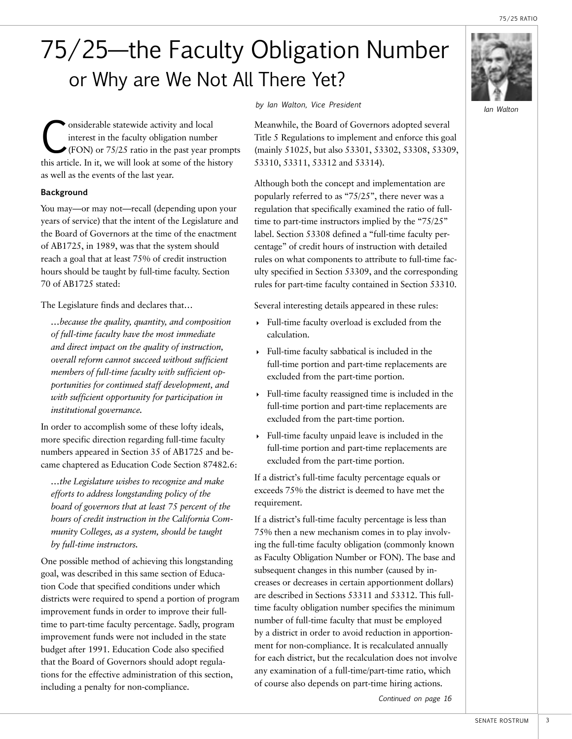75/25 RATIO

## 75/25—the Faculty Obligation Number or Why are We Not All There Yet?

**Considerable statewide activity and local**<br>interest in the faculty obligation number<br>(FON) or 75/25 ratio in the past year pr interest in the faculty obligation number (FON) or 75/25 ratio in the past year prompts this article. In it, we will look at some of the history as well as the events of the last year.

#### **Background**

You may—or may not—recall (depending upon your years of service) that the intent of the Legislature and the Board of Governors at the time of the enactment of AB1725, in 1989, was that the system should reach a goal that at least 75% of credit instruction hours should be taught by full-time faculty. Section 70 of AB1725 stated:

The Legislature finds and declares that…

*…because the quality, quantity, and composition of full-time faculty have the most immediate and direct impact on the quality of instruction, overall reform cannot succeed without sufficient members of full-time faculty with sufficient opportunities for continued staff development, and with sufficient opportunity for participation in institutional governance.*

In order to accomplish some of these lofty ideals, more specific direction regarding full-time faculty numbers appeared in Section 35 of AB1725 and became chaptered as Education Code Section 87482.6:

*…the Legislature wishes to recognize and make efforts to address longstanding policy of the board of governors that at least 75 percent of the hours of credit instruction in the California Community Colleges, as a system, should be taught by full-time instructors.*

One possible method of achieving this longstanding goal, was described in this same section of Education Code that specified conditions under which districts were required to spend a portion of program improvement funds in order to improve their fulltime to part-time faculty percentage. Sadly, program improvement funds were not included in the state budget after 1991. Education Code also specified that the Board of Governors should adopt regulations for the effective administration of this section, including a penalty for non-compliance.

*by Ian Walton, Vice President Ian Walton*

Meanwhile, the Board of Governors adopted several Title 5 Regulations to implement and enforce this goal (mainly 51025, but also 53301, 53302, 53308, 53309, 53310, 53311, 53312 and 53314).

Although both the concept and implementation are popularly referred to as "75/25", there never was a regulation that specifically examined the ratio of fulltime to part-time instructors implied by the "75/25" label. Section 53308 defined a "full-time faculty percentage" of credit hours of instruction with detailed rules on what components to attribute to full-time faculty specified in Section 53309, and the corresponding rules for part-time faculty contained in Section 53310.

Several interesting details appeared in these rules:

- 4 Full-time faculty overload is excluded from the calculation.
- $\rightarrow$  Full-time faculty sabbatical is included in the full-time portion and part-time replacements are excluded from the part-time portion.
- $\rightarrow$  Full-time faculty reassigned time is included in the full-time portion and part-time replacements are excluded from the part-time portion.
- 4 Full-time faculty unpaid leave is included in the full-time portion and part-time replacements are excluded from the part-time portion.

If a district's full-time faculty percentage equals or exceeds 75% the district is deemed to have met the requirement.

If a district's full-time faculty percentage is less than 75% then a new mechanism comes in to play involving the full-time faculty obligation (commonly known as Faculty Obligation Number or FON). The base and subsequent changes in this number (caused by increases or decreases in certain apportionment dollars) are described in Sections 53311 and 53312. This fulltime faculty obligation number specifies the minimum number of full-time faculty that must be employed by a district in order to avoid reduction in apportionment for non-compliance. It is recalculated annually for each district, but the recalculation does not involve any examination of a full-time/part-time ratio, which of course also depends on part-time hiring actions.

*Continued on page 16*

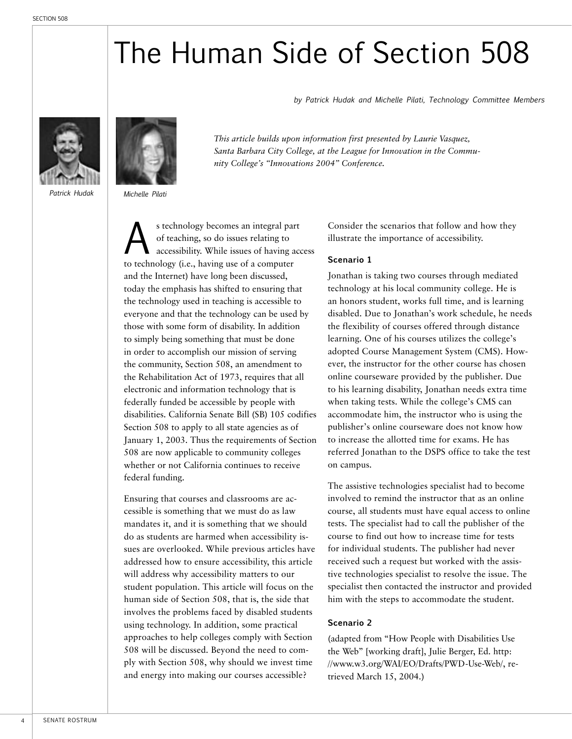# The Human Side of Section 508

*by Patrick Hudak and Michelle Pilati, Technology Committee Members*







*This article builds upon information first presented by Laurie Vasquez, Santa Barbara City College, at the League for Innovation in the Community College's "Innovations 2004" Conference.*

s technology becomes an integral part<br>of teaching, so do issues relating to<br>accessibility. While issues of having accessibility. of teaching, so do issues relating to accessibility. While issues of having access to technology (i.e., having use of a computer and the Internet) have long been discussed, today the emphasis has shifted to ensuring that the technology used in teaching is accessible to everyone and that the technology can be used by those with some form of disability. In addition to simply being something that must be done in order to accomplish our mission of serving the community, Section 508, an amendment to the Rehabilitation Act of 1973, requires that all electronic and information technology that is federally funded be accessible by people with disabilities. California Senate Bill (SB) 105 codifies Section 508 to apply to all state agencies as of January 1, 2003. Thus the requirements of Section 508 are now applicable to community colleges whether or not California continues to receive federal funding.

Ensuring that courses and classrooms are accessible is something that we must do as law mandates it, and it is something that we should do as students are harmed when accessibility issues are overlooked. While previous articles have addressed how to ensure accessibility, this article will address why accessibility matters to our student population. This article will focus on the human side of Section 508, that is, the side that involves the problems faced by disabled students using technology. In addition, some practical approaches to help colleges comply with Section 508 will be discussed. Beyond the need to comply with Section 508, why should we invest time and energy into making our courses accessible?

Consider the scenarios that follow and how they illustrate the importance of accessibility.

#### **Scenario 1**

Jonathan is taking two courses through mediated technology at his local community college. He is an honors student, works full time, and is learning disabled. Due to Jonathan's work schedule, he needs the flexibility of courses offered through distance learning. One of his courses utilizes the college's adopted Course Management System (CMS). However, the instructor for the other course has chosen online courseware provided by the publisher. Due to his learning disability, Jonathan needs extra time when taking tests. While the college's CMS can accommodate him, the instructor who is using the publisher's online courseware does not know how to increase the allotted time for exams. He has referred Jonathan to the DSPS office to take the test on campus.

The assistive technologies specialist had to become involved to remind the instructor that as an online course, all students must have equal access to online tests. The specialist had to call the publisher of the course to find out how to increase time for tests for individual students. The publisher had never received such a request but worked with the assistive technologies specialist to resolve the issue. The specialist then contacted the instructor and provided him with the steps to accommodate the student.

#### **Scenario 2**

(adapted from "How People with Disabilities Use the Web" [working draft], Julie Berger, Ed. http: //www.w3.org/WAI/EO/Drafts/PWD-Use-Web/, retrieved March 15, 2004.)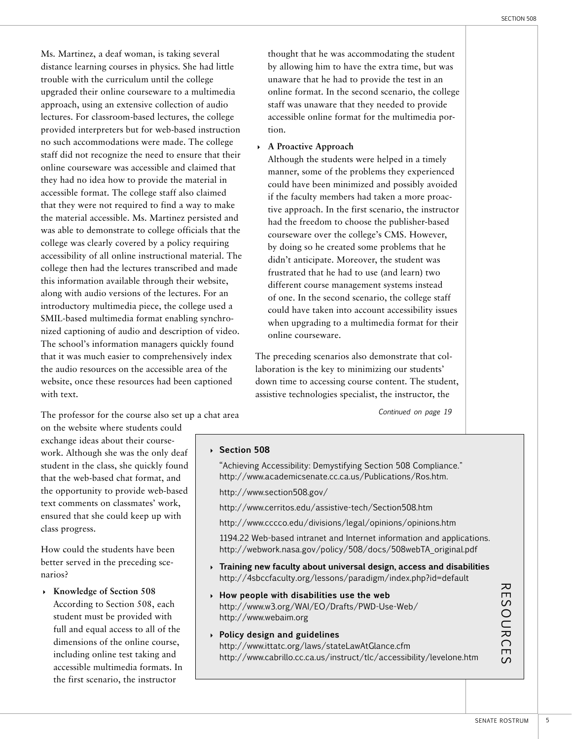Ms. Martinez, a deaf woman, is taking several distance learning courses in physics. She had little trouble with the curriculum until the college upgraded their online courseware to a multimedia approach, using an extensive collection of audio lectures. For classroom-based lectures, the college provided interpreters but for web-based instruction no such accommodations were made. The college staff did not recognize the need to ensure that their online courseware was accessible and claimed that they had no idea how to provide the material in accessible format. The college staff also claimed that they were not required to find a way to make the material accessible. Ms. Martinez persisted and was able to demonstrate to college officials that the college was clearly covered by a policy requiring accessibility of all online instructional material. The college then had the lectures transcribed and made this information available through their website, along with audio versions of the lectures. For an introductory multimedia piece, the college used a SMIL-based multimedia format enabling synchronized captioning of audio and description of video. The school's information managers quickly found that it was much easier to comprehensively index the audio resources on the accessible area of the website, once these resources had been captioned with text.

The professor for the course also set up a chat area

on the website where students could exchange ideas about their coursework. Although she was the only deaf student in the class, she quickly found that the web-based chat format, and the opportunity to provide web-based text comments on classmates' work, ensured that she could keep up with class progress.

How could the students have been better served in the preceding scenarios?

4 **Knowledge of Section 508**  According to Section 508, each student must be provided with full and equal access to all of the dimensions of the online course, including online test taking and accessible multimedia formats. In the first scenario, the instructor

thought that he was accommodating the student by allowing him to have the extra time, but was unaware that he had to provide the test in an online format. In the second scenario, the college staff was unaware that they needed to provide accessible online format for the multimedia portion.

#### 4 **A Proactive Approach**

Although the students were helped in a timely manner, some of the problems they experienced could have been minimized and possibly avoided if the faculty members had taken a more proactive approach. In the first scenario, the instructor had the freedom to choose the publisher-based courseware over the college's CMS. However, by doing so he created some problems that he didn't anticipate. Moreover, the student was frustrated that he had to use (and learn) two different course management systems instead of one. In the second scenario, the college staff could have taken into account accessibility issues when upgrading to a multimedia format for their online courseware.

The preceding scenarios also demonstrate that collaboration is the key to minimizing our students' down time to accessing course content. The student, assistive technologies specialist, the instructor, the

*Continued on page 19*

## 4 **Section 508** "Achieving Accessibility: Demystifying Section 508 Compliance." http://www.academicsenate.cc.ca.us/Publications/Ros.htm. http://www.section508.gov/ http://www.cerritos.edu/assistive-tech/Section508.htm http://www.cccco.edu/divisions/legal/opinions/opinions.htm 1194.22 Web-based intranet and Internet information and applications. http://webwork.nasa.gov/policy/508/docs/508webTA\_original.pdf 4 **Training new faculty about universal design, access and disabilities** http://4sbccfaculty.org/lessons/paradigm/index.php?id=default 4 **How people with disabilities use the web** http://www.w3.org/WAI/EO/Drafts/PWD-Use-Web/ http://www.webaim.org 4 **Policy design and guidelines** http://www.ittatc.org/laws/stateLawAtGlance.cfm http://www.cabrillo.cc.ca.us/instruct/tlc/accessibility/levelone.htm  $\overline{\mathcal{R}}$ ESOURCE  $\mathcal{C}$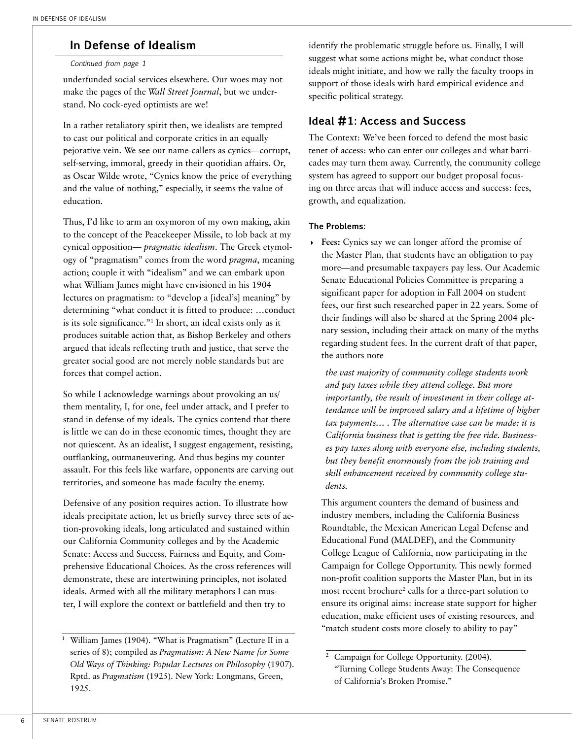## **In Defense of Idealism**

#### *Continued from page 1*

underfunded social services elsewhere. Our woes may not make the pages of the *Wall Street Journal*, but we understand. No cock-eyed optimists are we!

In a rather retaliatory spirit then, we idealists are tempted to cast our political and corporate critics in an equally pejorative vein. We see our name-callers as cynics—corrupt, self-serving, immoral, greedy in their quotidian affairs. Or, as Oscar Wilde wrote, "Cynics know the price of everything and the value of nothing," especially, it seems the value of education.

Thus, I'd like to arm an oxymoron of my own making, akin to the concept of the Peacekeeper Missile, to lob back at my cynical opposition— *pragmatic idealism*. The Greek etymology of "pragmatism" comes from the word *pragma*, meaning action; couple it with "idealism" and we can embark upon what William James might have envisioned in his 1904 lectures on pragmatism: to "develop a [ideal's] meaning" by determining "what conduct it is fitted to produce: …conduct is its sole significance."1 In short, an ideal exists only as it produces suitable action that, as Bishop Berkeley and others argued that ideals reflecting truth and justice, that serve the greater social good are not merely noble standards but are forces that compel action.

So while I acknowledge warnings about provoking an us/ them mentality, I, for one, feel under attack, and I prefer to stand in defense of my ideals. The cynics contend that there is little we can do in these economic times, thought they are not quiescent. As an idealist, I suggest engagement, resisting, outflanking, outmaneuvering. And thus begins my counter assault. For this feels like warfare, opponents are carving out territories, and someone has made faculty the enemy.

Defensive of any position requires action. To illustrate how ideals precipitate action, let us briefly survey three sets of action-provoking ideals, long articulated and sustained within our California Community colleges and by the Academic Senate: Access and Success, Fairness and Equity, and Comprehensive Educational Choices. As the cross references will demonstrate, these are intertwining principles, not isolated ideals. Armed with all the military metaphors I can muster, I will explore the context or battlefield and then try to

identify the problematic struggle before us. Finally, I will suggest what some actions might be, what conduct those ideals might initiate, and how we rally the faculty troops in support of those ideals with hard empirical evidence and specific political strategy.

#### **Ideal #1: Access and Success**

The Context: We've been forced to defend the most basic tenet of access: who can enter our colleges and what barricades may turn them away. Currently, the community college system has agreed to support our budget proposal focusing on three areas that will induce access and success: fees, growth, and equalization.

#### **The Problems:**

4 **Fees:** Cynics say we can longer afford the promise of the Master Plan, that students have an obligation to pay more—and presumable taxpayers pay less. Our Academic Senate Educational Policies Committee is preparing a significant paper for adoption in Fall 2004 on student fees, our first such researched paper in 22 years. Some of their findings will also be shared at the Spring 2004 plenary session, including their attack on many of the myths regarding student fees. In the current draft of that paper, the authors note

*the vast majority of community college students work and pay taxes while they attend college. But more importantly, the result of investment in their college attendance will be improved salary and a lifetime of higher tax payments… . The alternative case can be made: it is California business that is getting the free ride. Businesses pay taxes along with everyone else, including students, but they benefit enormously from the job training and skill enhancement received by community college students.*

This argument counters the demand of business and industry members, including the California Business Roundtable, the Mexican American Legal Defense and Educational Fund (MALDEF), and the Community College League of California, now participating in the Campaign for College Opportunity. This newly formed non-profit coalition supports the Master Plan, but in its most recent brochure<sup>2</sup> calls for a three-part solution to ensure its original aims: increase state support for higher education, make efficient uses of existing resources, and "match student costs more closely to ability to pay"

<sup>&</sup>lt;sup>1</sup> William James (1904). "What is Pragmatism" (Lecture II in a series of 8); compiled as *Pragmatism: A New Name for Some Old Ways of Thinking: Popular Lectures on Philosophy* (1907). Rptd. as *Pragmatism* (1925). New York: Longmans, Green, 1925.

<sup>&</sup>lt;sup>2</sup> Campaign for College Opportunity. (2004). "Turning College Students Away: The Consequence of California's Broken Promise."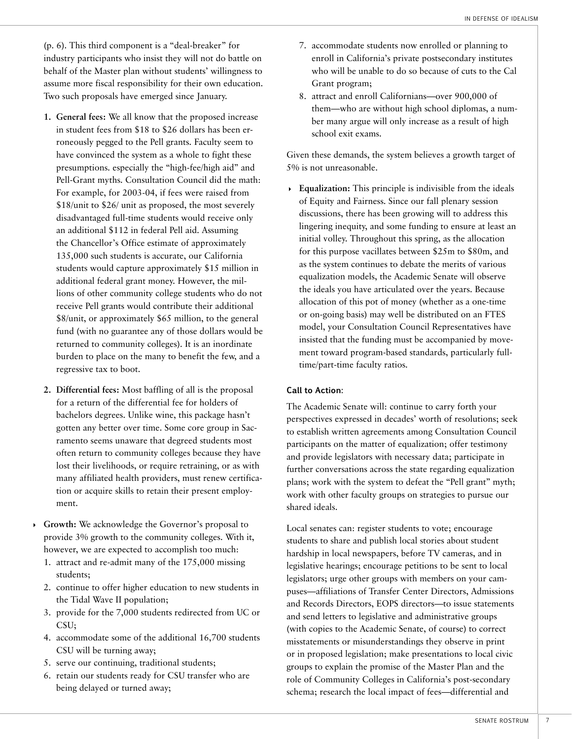(p. 6). This third component is a "deal-breaker" for industry participants who insist they will not do battle on behalf of the Master plan without students' willingness to assume more fiscal responsibility for their own education. Two such proposals have emerged since January.

- **1. General fees:** We all know that the proposed increase in student fees from \$18 to \$26 dollars has been erroneously pegged to the Pell grants. Faculty seem to have convinced the system as a whole to fight these presumptions. especially the "high-fee/high aid" and Pell-Grant myths. Consultation Council did the math: For example, for 2003-04, if fees were raised from \$18/unit to \$26/ unit as proposed, the most severely disadvantaged full-time students would receive only an additional \$112 in federal Pell aid. Assuming the Chancellor's Office estimate of approximately 135,000 such students is accurate, our California students would capture approximately \$15 million in additional federal grant money. However, the millions of other community college students who do not receive Pell grants would contribute their additional \$8/unit, or approximately \$65 million, to the general fund (with no guarantee any of those dollars would be returned to community colleges). It is an inordinate burden to place on the many to benefit the few, and a regressive tax to boot.
- **2. Differential fees:** Most baffling of all is the proposal for a return of the differential fee for holders of bachelors degrees. Unlike wine, this package hasn't gotten any better over time. Some core group in Sacramento seems unaware that degreed students most often return to community colleges because they have lost their livelihoods, or require retraining, or as with many affiliated health providers, must renew certification or acquire skills to retain their present employment.
- 4 **Growth:** We acknowledge the Governor's proposal to provide 3% growth to the community colleges. With it, however, we are expected to accomplish too much:
	- 1. attract and re-admit many of the 175,000 missing students;
	- 2. continue to offer higher education to new students in the Tidal Wave II population;
	- 3. provide for the 7,000 students redirected from UC or CSU;
	- 4. accommodate some of the additional 16,700 students CSU will be turning away;
	- 5. serve our continuing, traditional students;
	- 6. retain our students ready for CSU transfer who are being delayed or turned away;
- 7. accommodate students now enrolled or planning to enroll in California's private postsecondary institutes who will be unable to do so because of cuts to the Cal Grant program;
- 8. attract and enroll Californians—over 900,000 of them—who are without high school diplomas, a number many argue will only increase as a result of high school exit exams.

Given these demands, the system believes a growth target of 5% is not unreasonable.

4 **Equalization:** This principle is indivisible from the ideals of Equity and Fairness. Since our fall plenary session discussions, there has been growing will to address this lingering inequity, and some funding to ensure at least an initial volley. Throughout this spring, as the allocation for this purpose vacillates between \$25m to \$80m, and as the system continues to debate the merits of various equalization models, the Academic Senate will observe the ideals you have articulated over the years. Because allocation of this pot of money (whether as a one-time or on-going basis) may well be distributed on an FTES model, your Consultation Council Representatives have insisted that the funding must be accompanied by movement toward program-based standards, particularly fulltime/part-time faculty ratios.

#### **Call to Action:**

The Academic Senate will: continue to carry forth your perspectives expressed in decades' worth of resolutions; seek to establish written agreements among Consultation Council participants on the matter of equalization; offer testimony and provide legislators with necessary data; participate in further conversations across the state regarding equalization plans; work with the system to defeat the "Pell grant" myth; work with other faculty groups on strategies to pursue our shared ideals.

Local senates can: register students to vote; encourage students to share and publish local stories about student hardship in local newspapers, before TV cameras, and in legislative hearings; encourage petitions to be sent to local legislators; urge other groups with members on your campuses—affiliations of Transfer Center Directors, Admissions and Records Directors, EOPS directors—to issue statements and send letters to legislative and administrative groups (with copies to the Academic Senate, of course) to correct misstatements or misunderstandings they observe in print or in proposed legislation; make presentations to local civic groups to explain the promise of the Master Plan and the role of Community Colleges in California's post-secondary schema; research the local impact of fees—differential and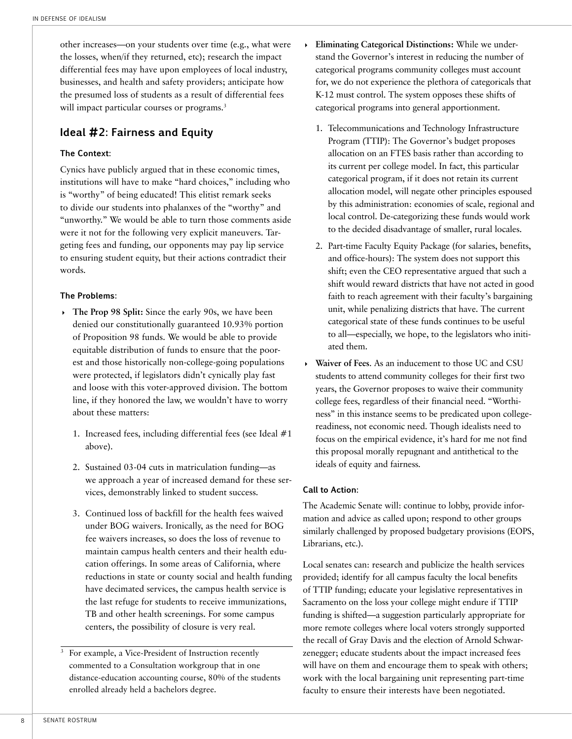other increases—on your students over time (e.g., what were the losses, when/if they returned, etc); research the impact differential fees may have upon employees of local industry, businesses, and health and safety providers; anticipate how the presumed loss of students as a result of differential fees will impact particular courses or programs.<sup>3</sup>

### **Ideal #2: Fairness and Equity**

#### **The Context:**

Cynics have publicly argued that in these economic times, institutions will have to make "hard choices," including who is "worthy" of being educated! This elitist remark seeks to divide our students into phalanxes of the "worthy" and "unworthy." We would be able to turn those comments aside were it not for the following very explicit maneuvers. Targeting fees and funding, our opponents may pay lip service to ensuring student equity, but their actions contradict their words.

#### **The Problems:**

- 4 **The Prop 98 Split:** Since the early 90s, we have been denied our constitutionally guaranteed 10.93% portion of Proposition 98 funds. We would be able to provide equitable distribution of funds to ensure that the poorest and those historically non-college-going populations were protected, if legislators didn't cynically play fast and loose with this voter-approved division. The bottom line, if they honored the law, we wouldn't have to worry about these matters:
	- 1. Increased fees, including differential fees (see Ideal #1 above).
	- 2. Sustained 03-04 cuts in matriculation funding—as we approach a year of increased demand for these services, demonstrably linked to student success.
	- 3. Continued loss of backfill for the health fees waived under BOG waivers. Ironically, as the need for BOG fee waivers increases, so does the loss of revenue to maintain campus health centers and their health education offerings. In some areas of California, where reductions in state or county social and health funding have decimated services, the campus health service is the last refuge for students to receive immunizations, TB and other health screenings. For some campus centers, the possibility of closure is very real.
- For example, a Vice-President of Instruction recently commented to a Consultation workgroup that in one distance-education accounting course, 80% of the students enrolled already held a bachelors degree.
- 4 **Eliminating Categorical Distinctions:** While we understand the Governor's interest in reducing the number of categorical programs community colleges must account for, we do not experience the plethora of categoricals that K-12 must control. The system opposes these shifts of categorical programs into general apportionment.
	- 1. Telecommunications and Technology Infrastructure Program (TTIP): The Governor's budget proposes allocation on an FTES basis rather than according to its current per college model. In fact, this particular categorical program, if it does not retain its current allocation model, will negate other principles espoused by this administration: economies of scale, regional and local control. De-categorizing these funds would work to the decided disadvantage of smaller, rural locales.
	- 2. Part-time Faculty Equity Package (for salaries, benefits, and office-hours): The system does not support this shift; even the CEO representative argued that such a shift would reward districts that have not acted in good faith to reach agreement with their faculty's bargaining unit, while penalizing districts that have. The current categorical state of these funds continues to be useful to all—especially, we hope, to the legislators who initiated them.
- 4 **Waiver of Fees**. As an inducement to those UC and CSU students to attend community colleges for their first two years, the Governor proposes to waive their community college fees, regardless of their financial need. "Worthiness" in this instance seems to be predicated upon collegereadiness, not economic need. Though idealists need to focus on the empirical evidence, it's hard for me not find this proposal morally repugnant and antithetical to the ideals of equity and fairness.

#### **Call to Action:**

The Academic Senate will: continue to lobby, provide information and advice as called upon; respond to other groups similarly challenged by proposed budgetary provisions (EOPS, Librarians, etc.).

Local senates can: research and publicize the health services provided; identify for all campus faculty the local benefits of TTIP funding; educate your legislative representatives in Sacramento on the loss your college might endure if TTIP funding is shifted—a suggestion particularly appropriate for more remote colleges where local voters strongly supported the recall of Gray Davis and the election of Arnold Schwarzenegger; educate students about the impact increased fees will have on them and encourage them to speak with others; work with the local bargaining unit representing part-time faculty to ensure their interests have been negotiated.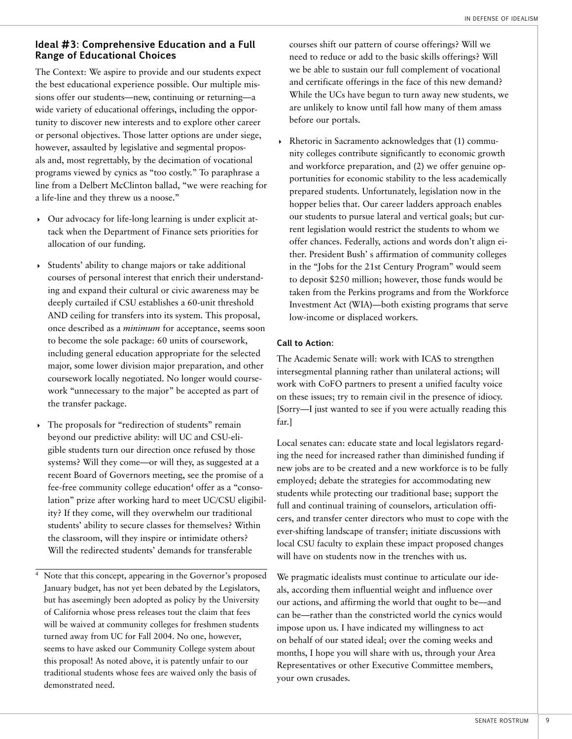#### **Ideal #3: Comprehensive Education and a Full Range of Educational Choices**

The Context: We aspire to provide and our students expect the best educational experience possible. Our multiple missions offer our students—new, continuing or returning—a wide variety of educational offerings, including the opportunity to discover new interests and to explore other career or personal objectives. Those latter options are under siege, however, assaulted by legislative and segmental proposals and, most regrettably, by the decimation of vocational programs viewed by cynics as "too costly." To paraphrase a line from a Delbert McClinton ballad, "we were reaching for a life-line and they threw us a noose."

- 4 Our advocacy for life-long learning is under explicit attack when the Department of Finance sets priorities for allocation of our funding.
- 4 Students' ability to change majors or take additional courses of personal interest that enrich their understanding and expand their cultural or civic awareness may be deeply curtailed if CSU establishes a 60-unit threshold AND ceiling for transfers into its system. This proposal, once described as a *minimum* for acceptance, seems soon to become the sole package: 60 units of coursework, including general education appropriate for the selected major, some lower division major preparation, and other coursework locally negotiated. No longer would coursework "unnecessary to the major" be accepted as part of the transfer package.
- The proposals for "redirection of students" remain beyond our predictive ability: will UC and CSU-eligible students turn our direction once refused by those systems? Will they come—or will they, as suggested at a recent Board of Governors meeting, see the promise of a fee-free community college education<sup>4</sup> offer as a "consolation" prize after working hard to meet UC/CSU eligibility? If they come, will they overwhelm our traditional students' ability to secure classes for themselves? Within the classroom, will they inspire or intimidate others? Will the redirected students' demands for transferable
- Note that this concept, appearing in the Governor's proposed January budget, has not yet been debated by the Legislators, but has aseemingly been adopted as policy by the University of California whose press releases tout the claim that fees will be waived at community colleges for freshmen students turned away from UC for Fall 2004. No one, however, seems to have asked our Community College system about this proposal! As noted above, it is patently unfair to our traditional students whose fees are waived only the basis of demonstrated need.

courses shift our pattern of course offerings? Will we need to reduce or add to the basic skills offerings? Will we be able to sustain our full complement of vocational and certificate offerings in the face of this new demand? While the UCs have begun to turn away new students, we are unlikely to know until fall how many of them amass before our portals.

4 Rhetoric in Sacramento acknowledges that (1) community colleges contribute significantly to economic growth and workforce preparation, and (2) we offer genuine opportunities for economic stability to the less academically prepared students. Unfortunately, legislation now in the hopper belies that. Our career ladders approach enables our students to pursue lateral and vertical goals; but current legislation would restrict the students to whom we offer chances. Federally, actions and words don't align either. President Bush' s affirmation of community colleges in the "Jobs for the 21st Century Program" would seem to deposit \$250 million; however, those funds would be taken from the Perkins programs and from the Workforce Investment Act (WIA)—both existing programs that serve low-income or displaced workers.

#### **Call to Action:**

The Academic Senate will: work with ICAS to strengthen intersegmental planning rather than unilateral actions; will work with CoFO partners to present a unified faculty voice on these issues; try to remain civil in the presence of idiocy. [Sorry—I just wanted to see if you were actually reading this far.]

Local senates can: educate state and local legislators regarding the need for increased rather than diminished funding if new jobs are to be created and a new workforce is to be fully employed; debate the strategies for accommodating new students while protecting our traditional base; support the full and continual training of counselors, articulation officers, and transfer center directors who must to cope with the ever-shifting landscape of transfer; initiate discussions with local CSU faculty to explain these impact proposed changes will have on students now in the trenches with us.

We pragmatic idealists must continue to articulate our ideals, according them influential weight and influence over our actions, and affirming the world that ought to be—and can be—rather than the constricted world the cynics would impose upon us. I have indicated my willingness to act on behalf of our stated ideal; over the coming weeks and months, I hope you will share with us, through your Area Representatives or other Executive Committee members, your own crusades.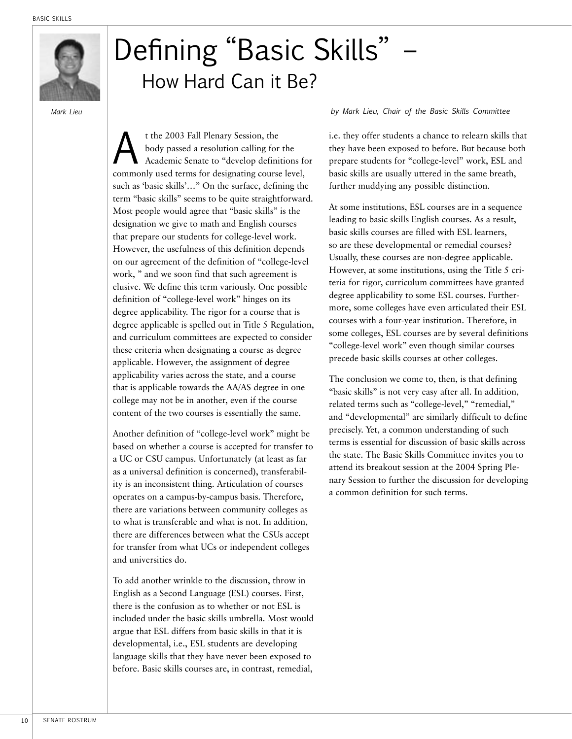

## Defining "Basic Skills" – How Hard Can it Be?

t the 2003 Fall Plenary Session, the<br>body passed a resolution calling for<br>Academic Senate to "develop definit body passed a resolution calling for the Academic Senate to "develop definitions for commonly used terms for designating course level, such as 'basic skills'…" On the surface, defining the term "basic skills" seems to be quite straightforward. Most people would agree that "basic skills" is the designation we give to math and English courses that prepare our students for college-level work. However, the usefulness of this definition depends on our agreement of the definition of "college-level work, " and we soon find that such agreement is elusive. We define this term variously. One possible definition of "college-level work" hinges on its degree applicability. The rigor for a course that is degree applicable is spelled out in Title 5 Regulation, and curriculum committees are expected to consider these criteria when designating a course as degree applicable. However, the assignment of degree applicability varies across the state, and a course that is applicable towards the AA/AS degree in one college may not be in another, even if the course content of the two courses is essentially the same.

Another definition of "college-level work" might be based on whether a course is accepted for transfer to a UC or CSU campus. Unfortunately (at least as far as a universal definition is concerned), transferability is an inconsistent thing. Articulation of courses operates on a campus-by-campus basis. Therefore, there are variations between community colleges as to what is transferable and what is not. In addition, there are differences between what the CSUs accept for transfer from what UCs or independent colleges and universities do.

To add another wrinkle to the discussion, throw in English as a Second Language (ESL) courses. First, there is the confusion as to whether or not ESL is included under the basic skills umbrella. Most would argue that ESL differs from basic skills in that it is developmental, i.e., ESL students are developing language skills that they have never been exposed to before. Basic skills courses are, in contrast, remedial,

#### *Mark Lieu by Mark Lieu, Chair of the Basic Skills Committee*

i.e. they offer students a chance to relearn skills that they have been exposed to before. But because both prepare students for "college-level" work, ESL and basic skills are usually uttered in the same breath, further muddying any possible distinction.

At some institutions, ESL courses are in a sequence leading to basic skills English courses. As a result, basic skills courses are filled with ESL learners, so are these developmental or remedial courses? Usually, these courses are non-degree applicable. However, at some institutions, using the Title 5 criteria for rigor, curriculum committees have granted degree applicability to some ESL courses. Furthermore, some colleges have even articulated their ESL courses with a four-year institution. Therefore, in some colleges, ESL courses are by several definitions "college-level work" even though similar courses precede basic skills courses at other colleges.

The conclusion we come to, then, is that defining "basic skills" is not very easy after all. In addition, related terms such as "college-level," "remedial," and "developmental" are similarly difficult to define precisely. Yet, a common understanding of such terms is essential for discussion of basic skills across the state. The Basic Skills Committee invites you to attend its breakout session at the 2004 Spring Plenary Session to further the discussion for developing a common definition for such terms.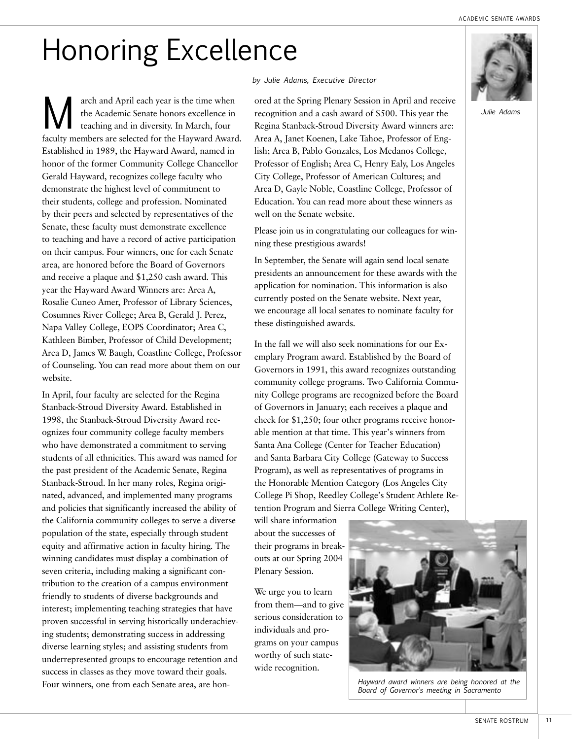# Honoring Excellence

arch and April each year is the time when<br>the Academic Senate honors excellence in<br>teaching and in diversity. In March, four the Academic Senate honors excellence in teaching and in diversity. In March, four faculty members are selected for the Hayward Award. Established in 1989, the Hayward Award, named in honor of the former Community College Chancellor Gerald Hayward, recognizes college faculty who demonstrate the highest level of commitment to their students, college and profession. Nominated by their peers and selected by representatives of the Senate, these faculty must demonstrate excellence to teaching and have a record of active participation on their campus. Four winners, one for each Senate area, are honored before the Board of Governors and receive a plaque and \$1,250 cash award. This year the Hayward Award Winners are: Area A, Rosalie Cuneo Amer, Professor of Library Sciences, Cosumnes River College; Area B, Gerald J. Perez, Napa Valley College, EOPS Coordinator; Area C, Kathleen Bimber, Professor of Child Development; Area D, James W. Baugh, Coastline College, Professor of Counseling. You can read more about them on our website.

In April, four faculty are selected for the Regina Stanback-Stroud Diversity Award. Established in 1998, the Stanback-Stroud Diversity Award recognizes four community college faculty members who have demonstrated a commitment to serving students of all ethnicities. This award was named for the past president of the Academic Senate, Regina Stanback-Stroud. In her many roles, Regina originated, advanced, and implemented many programs and policies that significantly increased the ability of the California community colleges to serve a diverse population of the state, especially through student equity and affirmative action in faculty hiring. The winning candidates must display a combination of seven criteria, including making a significant contribution to the creation of a campus environment friendly to students of diverse backgrounds and interest; implementing teaching strategies that have proven successful in serving historically underachieving students; demonstrating success in addressing diverse learning styles; and assisting students from underrepresented groups to encourage retention and success in classes as they move toward their goals. Four winners, one from each Senate area, are hon-

#### *by Julie Adams, Executive Director*

ored at the Spring Plenary Session in April and receive recognition and a cash award of \$500. This year the Regina Stanback-Stroud Diversity Award winners are: Area A, Janet Koenen, Lake Tahoe, Professor of English; Area B, Pablo Gonzales, Los Medanos College, Professor of English; Area C, Henry Ealy, Los Angeles City College, Professor of American Cultures; and Area D, Gayle Noble, Coastline College, Professor of Education. You can read more about these winners as well on the Senate website.

Please join us in congratulating our colleagues for winning these prestigious awards!

In September, the Senate will again send local senate presidents an announcement for these awards with the application for nomination. This information is also currently posted on the Senate website. Next year, we encourage all local senates to nominate faculty for these distinguished awards.

In the fall we will also seek nominations for our Exemplary Program award. Established by the Board of Governors in 1991, this award recognizes outstanding community college programs. Two California Community College programs are recognized before the Board of Governors in January; each receives a plaque and check for \$1,250; four other programs receive honorable mention at that time. This year's winners from Santa Ana College (Center for Teacher Education) and Santa Barbara City College (Gateway to Success Program), as well as representatives of programs in the Honorable Mention Category (Los Angeles City College Pi Shop, Reedley College's Student Athlete Retention Program and Sierra College Writing Center),

will share information about the successes of their programs in breakouts at our Spring 2004 Plenary Session.

We urge you to learn from them—and to give serious consideration to individuals and programs on your campus worthy of such statewide recognition.



*Hayward award winners are being honored at the Board of Governor's meeting in Sacramento*

*Julie Adams*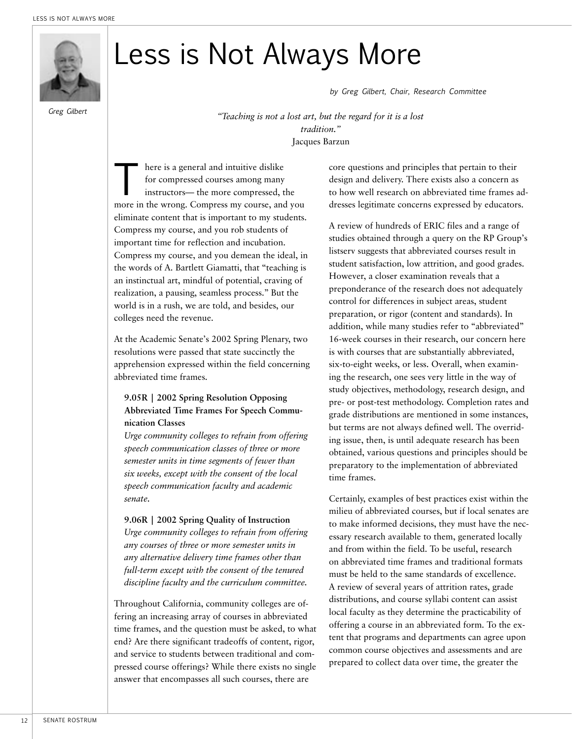

*Greg Gilbert*

# Less is Not Always More

*by Greg Gilbert, Chair, Research Committee*

*"Teaching is not a lost art, but the regard for it is a lost tradition."* Jacques Barzun

here is a general and intuitive dislike<br>for compressed courses among many<br>instructors— the more compressed, t<br>more in the wrong. Compress my course, and for compressed courses among many instructors— the more compressed, the more in the wrong. Compress my course, and you eliminate content that is important to my students. Compress my course, and you rob students of important time for reflection and incubation. Compress my course, and you demean the ideal, in the words of A. Bartlett Giamatti, that "teaching is an instinctual art, mindful of potential, craving of realization, a pausing, seamless process." But the world is in a rush, we are told, and besides, our colleges need the revenue.

At the Academic Senate's 2002 Spring Plenary, two resolutions were passed that state succinctly the apprehension expressed within the field concerning abbreviated time frames.

#### **9.05R | 2002 Spring Resolution Opposing Abbreviated Time Frames For Speech Communication Classes**

*Urge community colleges to refrain from offering speech communication classes of three or more semester units in time segments of fewer than six weeks, except with the consent of the local speech communication faculty and academic senate.*

**9.06R | 2002 Spring Quality of Instruction** *Urge community colleges to refrain from offering any courses of three or more semester units in any alternative delivery time frames other than full-term except with the consent of the tenured discipline faculty and the curriculum committee.*

Throughout California, community colleges are offering an increasing array of courses in abbreviated time frames, and the question must be asked, to what end? Are there significant tradeoffs of content, rigor, and service to students between traditional and compressed course offerings? While there exists no single answer that encompasses all such courses, there are

core questions and principles that pertain to their design and delivery. There exists also a concern as to how well research on abbreviated time frames addresses legitimate concerns expressed by educators.

A review of hundreds of ERIC files and a range of studies obtained through a query on the RP Group's listserv suggests that abbreviated courses result in student satisfaction, low attrition, and good grades. However, a closer examination reveals that a preponderance of the research does not adequately control for differences in subject areas, student preparation, or rigor (content and standards). In addition, while many studies refer to "abbreviated" 16-week courses in their research, our concern here is with courses that are substantially abbreviated, six-to-eight weeks, or less. Overall, when examining the research, one sees very little in the way of study objectives, methodology, research design, and pre- or post-test methodology. Completion rates and grade distributions are mentioned in some instances, but terms are not always defined well. The overriding issue, then, is until adequate research has been obtained, various questions and principles should be preparatory to the implementation of abbreviated time frames.

Certainly, examples of best practices exist within the milieu of abbreviated courses, but if local senates are to make informed decisions, they must have the necessary research available to them, generated locally and from within the field. To be useful, research on abbreviated time frames and traditional formats must be held to the same standards of excellence. A review of several years of attrition rates, grade distributions, and course syllabi content can assist local faculty as they determine the practicability of offering a course in an abbreviated form. To the extent that programs and departments can agree upon common course objectives and assessments and are prepared to collect data over time, the greater the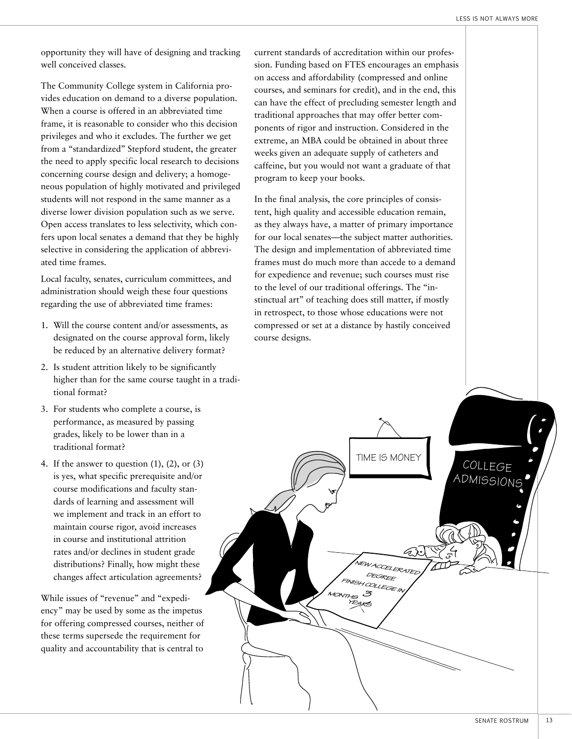opportunity they will have of designing and tracking well conceived classes.

The Community College system in California provides education on demand to a diverse population. When a course is offered in an abbreviated time frame, it is reasonable to consider who this decision privileges and who it excludes. The further we get from a "standardized" Stepford student, the greater the need to apply specific local research to decisions concerning course design and delivery; a homogeneous population of highly motivated and privileged students will not respond in the same manner as a diverse lower division population such as we serve. Open access translates to less selectivity, which confers upon local senates a demand that they be highly selective in considering the application of abbreviated time frames.

Local faculty, senates, curriculum committees, and administration should weigh these four questions regarding the use of abbreviated time frames:

- 1. Will the course content and/or assessments, as designated on the course approval form, likely be reduced by an alternative delivery format?
- 2. Is student attrition likely to be significantly higher than for the same course taught in a traditional format?
- 3. For students who complete a course, is performance, as measured by passing grades, likely to be lower than in a traditional format?
- 4. If the answer to question  $(1)$ ,  $(2)$ , or  $(3)$ is yes, what specific prerequisite and/or course modifications and faculty standards of learning and assessment will we implement and track in an effort to maintain course rigor, avoid increases in course and institutional attrition rates and/or declines in student grade distributions? Finally, how might these changes affect articulation agreements?

While issues of "revenue" and "expediency" may be used by some as the impetus for offering compressed courses, neither of these terms supersede the requirement for quality and accountability that is central to

current standards of accreditation within our profession. Funding based on FTES encourages an emphasis on access and affordability (compressed and online courses, and seminars for credit), and in the end, this can have the effect of precluding semester length and traditional approaches that may offer better components of rigor and instruction. Considered in the extreme, an MBA could be obtained in about three weeks given an adequate supply of catheters and caffeine, but you would not want a graduate of that program to keep your books.

In the final analysis, the core principles of consistent, high quality and accessible education remain, as they always have, a matter of primary importance for our local senates—the subject matter authorities. The design and implementation of abbreviated time frames must do much more than accede to a demand for expedience and revenue; such courses must rise to the level of our traditional offerings. The "instinctual art" of teaching does still matter, if mostly in retrospect, to those whose educations were not compressed or set at a distance by hastily conceived course designs.

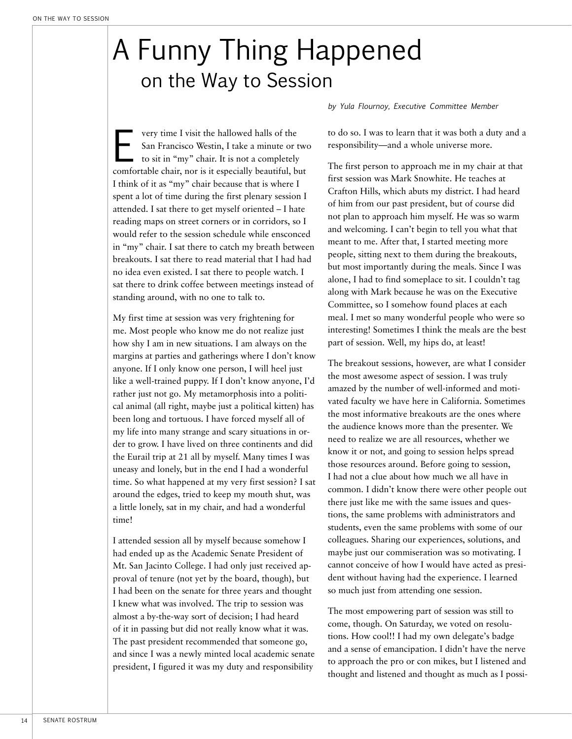## A Funny Thing Happened on the Way to Session

very time I visit the hallowed halls of the<br>San Francisco Westin, I take a minute or t<br>to sit in "my" chair. It is not a completely<br>comfortable chair, nor is it especially beautiful, by San Francisco Westin, I take a minute or two to sit in "my" chair. It is not a completely comfortable chair, nor is it especially beautiful, but I think of it as "my" chair because that is where I spent a lot of time during the first plenary session I attended. I sat there to get myself oriented – I hate reading maps on street corners or in corridors, so I would refer to the session schedule while ensconced in "my" chair. I sat there to catch my breath between breakouts. I sat there to read material that I had had no idea even existed. I sat there to people watch. I sat there to drink coffee between meetings instead of standing around, with no one to talk to.

My first time at session was very frightening for me. Most people who know me do not realize just how shy I am in new situations. I am always on the margins at parties and gatherings where I don't know anyone. If I only know one person, I will heel just like a well-trained puppy. If I don't know anyone, I'd rather just not go. My metamorphosis into a political animal (all right, maybe just a political kitten) has been long and tortuous. I have forced myself all of my life into many strange and scary situations in order to grow. I have lived on three continents and did the Eurail trip at 21 all by myself. Many times I was uneasy and lonely, but in the end I had a wonderful time. So what happened at my very first session? I sat around the edges, tried to keep my mouth shut, was a little lonely, sat in my chair, and had a wonderful time!

I attended session all by myself because somehow I had ended up as the Academic Senate President of Mt. San Jacinto College. I had only just received approval of tenure (not yet by the board, though), but I had been on the senate for three years and thought I knew what was involved. The trip to session was almost a by-the-way sort of decision; I had heard of it in passing but did not really know what it was. The past president recommended that someone go, and since I was a newly minted local academic senate president, I figured it was my duty and responsibility

*by Yula Flournoy, Executive Committee Member*

to do so. I was to learn that it was both a duty and a responsibility—and a whole universe more.

The first person to approach me in my chair at that first session was Mark Snowhite. He teaches at Crafton Hills, which abuts my district. I had heard of him from our past president, but of course did not plan to approach him myself. He was so warm and welcoming. I can't begin to tell you what that meant to me. After that, I started meeting more people, sitting next to them during the breakouts, but most importantly during the meals. Since I was alone, I had to find someplace to sit. I couldn't tag along with Mark because he was on the Executive Committee, so I somehow found places at each meal. I met so many wonderful people who were so interesting! Sometimes I think the meals are the best part of session. Well, my hips do, at least!

The breakout sessions, however, are what I consider the most awesome aspect of session. I was truly amazed by the number of well-informed and motivated faculty we have here in California. Sometimes the most informative breakouts are the ones where the audience knows more than the presenter. We need to realize we are all resources, whether we know it or not, and going to session helps spread those resources around. Before going to session, I had not a clue about how much we all have in common. I didn't know there were other people out there just like me with the same issues and questions, the same problems with administrators and students, even the same problems with some of our colleagues. Sharing our experiences, solutions, and maybe just our commiseration was so motivating. I cannot conceive of how I would have acted as president without having had the experience. I learned so much just from attending one session.

The most empowering part of session was still to come, though. On Saturday, we voted on resolutions. How cool!! I had my own delegate's badge and a sense of emancipation. I didn't have the nerve to approach the pro or con mikes, but I listened and thought and listened and thought as much as I possi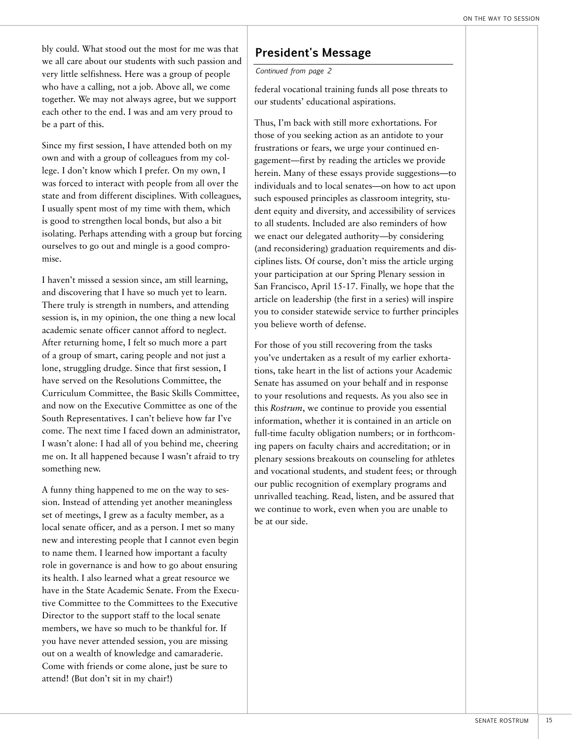bly could. What stood out the most for me was that we all care about our students with such passion and very little selfishness. Here was a group of people who have a calling, not a job. Above all, we come together. We may not always agree, but we support each other to the end. I was and am very proud to be a part of this.

Since my first session, I have attended both on my own and with a group of colleagues from my college. I don't know which I prefer. On my own, I was forced to interact with people from all over the state and from different disciplines. With colleagues, I usually spent most of my time with them, which is good to strengthen local bonds, but also a bit isolating. Perhaps attending with a group but forcing ourselves to go out and mingle is a good compromise.

I haven't missed a session since, am still learning, and discovering that I have so much yet to learn. There truly is strength in numbers, and attending session is, in my opinion, the one thing a new local academic senate officer cannot afford to neglect. After returning home, I felt so much more a part of a group of smart, caring people and not just a lone, struggling drudge. Since that first session, I have served on the Resolutions Committee, the Curriculum Committee, the Basic Skills Committee, and now on the Executive Committee as one of the South Representatives. I can't believe how far I've come. The next time I faced down an administrator, I wasn't alone: I had all of you behind me, cheering me on. It all happened because I wasn't afraid to try something new.

A funny thing happened to me on the way to session. Instead of attending yet another meaningless set of meetings, I grew as a faculty member, as a local senate officer, and as a person. I met so many new and interesting people that I cannot even begin to name them. I learned how important a faculty role in governance is and how to go about ensuring its health. I also learned what a great resource we have in the State Academic Senate. From the Executive Committee to the Committees to the Executive Director to the support staff to the local senate members, we have so much to be thankful for. If you have never attended session, you are missing out on a wealth of knowledge and camaraderie. Come with friends or come alone, just be sure to attend! (But don't sit in my chair!)

## **President's Message**

*Continued from page 2*

federal vocational training funds all pose threats to our students' educational aspirations.

Thus, I'm back with still more exhortations. For those of you seeking action as an antidote to your frustrations or fears, we urge your continued engagement—first by reading the articles we provide herein. Many of these essays provide suggestions—to individuals and to local senates—on how to act upon such espoused principles as classroom integrity, student equity and diversity, and accessibility of services to all students. Included are also reminders of how we enact our delegated authority—by considering (and reconsidering) graduation requirements and disciplines lists. Of course, don't miss the article urging your participation at our Spring Plenary session in San Francisco, April 15-17. Finally, we hope that the article on leadership (the first in a series) will inspire you to consider statewide service to further principles you believe worth of defense.

For those of you still recovering from the tasks you've undertaken as a result of my earlier exhortations, take heart in the list of actions your Academic Senate has assumed on your behalf and in response to your resolutions and requests. As you also see in this *Rostrum*, we continue to provide you essential information, whether it is contained in an article on full-time faculty obligation numbers; or in forthcoming papers on faculty chairs and accreditation; or in plenary sessions breakouts on counseling for athletes and vocational students, and student fees; or through our public recognition of exemplary programs and unrivalled teaching. Read, listen, and be assured that we continue to work, even when you are unable to be at our side.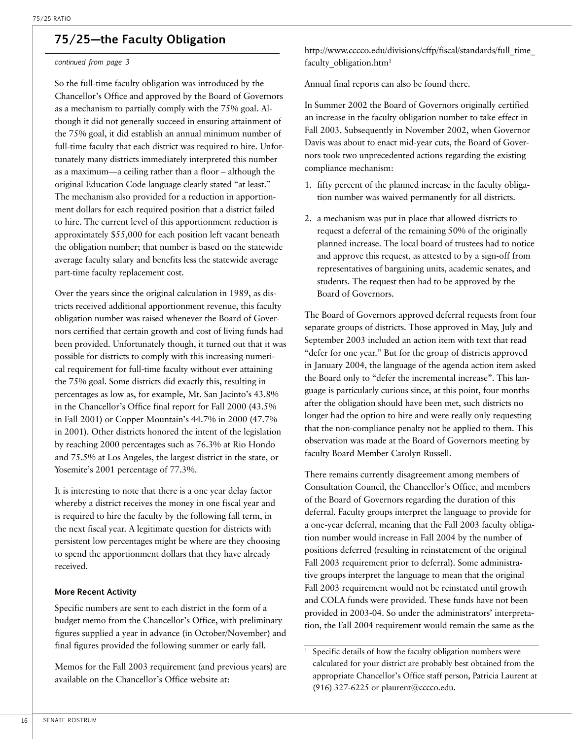## **75/25—the Faculty Obligation**

#### *continued from page 3*

So the full-time faculty obligation was introduced by the Chancellor's Office and approved by the Board of Governors as a mechanism to partially comply with the 75% goal. Although it did not generally succeed in ensuring attainment of the 75% goal, it did establish an annual minimum number of full-time faculty that each district was required to hire. Unfortunately many districts immediately interpreted this number as a maximum—a ceiling rather than a floor – although the original Education Code language clearly stated "at least." The mechanism also provided for a reduction in apportionment dollars for each required position that a district failed to hire. The current level of this apportionment reduction is approximately \$55,000 for each position left vacant beneath the obligation number; that number is based on the statewide average faculty salary and benefits less the statewide average part-time faculty replacement cost.

Over the years since the original calculation in 1989, as districts received additional apportionment revenue, this faculty obligation number was raised whenever the Board of Governors certified that certain growth and cost of living funds had been provided. Unfortunately though, it turned out that it was possible for districts to comply with this increasing numerical requirement for full-time faculty without ever attaining the 75% goal. Some districts did exactly this, resulting in percentages as low as, for example, Mt. San Jacinto's 43.8% in the Chancellor's Office final report for Fall 2000 (43.5% in Fall 2001) or Copper Mountain's 44.7% in 2000 (47.7% in 2001). Other districts honored the intent of the legislation by reaching 2000 percentages such as 76.3% at Rio Hondo and 75.5% at Los Angeles, the largest district in the state, or Yosemite's 2001 percentage of 77.3%.

It is interesting to note that there is a one year delay factor whereby a district receives the money in one fiscal year and is required to hire the faculty by the following fall term, in the next fiscal year. A legitimate question for districts with persistent low percentages might be where are they choosing to spend the apportionment dollars that they have already received.

#### **More Recent Activity**

Specific numbers are sent to each district in the form of a budget memo from the Chancellor's Office, with preliminary figures supplied a year in advance (in October/November) and final figures provided the following summer or early fall.

Memos for the Fall 2003 requirement (and previous years) are available on the Chancellor's Office website at:

http://www.cccco.edu/divisions/cffp/fiscal/standards/full\_time\_ faculty obligation.htm<sup>1</sup>

Annual final reports can also be found there.

In Summer 2002 the Board of Governors originally certified an increase in the faculty obligation number to take effect in Fall 2003. Subsequently in November 2002, when Governor Davis was about to enact mid-year cuts, the Board of Governors took two unprecedented actions regarding the existing compliance mechanism:

- 1. fifty percent of the planned increase in the faculty obligation number was waived permanently for all districts.
- 2. a mechanism was put in place that allowed districts to request a deferral of the remaining 50% of the originally planned increase. The local board of trustees had to notice and approve this request, as attested to by a sign-off from representatives of bargaining units, academic senates, and students. The request then had to be approved by the Board of Governors.

The Board of Governors approved deferral requests from four separate groups of districts. Those approved in May, July and September 2003 included an action item with text that read "defer for one year." But for the group of districts approved in January 2004, the language of the agenda action item asked the Board only to "defer the incremental increase". This language is particularly curious since, at this point, four months after the obligation should have been met, such districts no longer had the option to hire and were really only requesting that the non-compliance penalty not be applied to them. This observation was made at the Board of Governors meeting by faculty Board Member Carolyn Russell.

There remains currently disagreement among members of Consultation Council, the Chancellor's Office, and members of the Board of Governors regarding the duration of this deferral. Faculty groups interpret the language to provide for a one-year deferral, meaning that the Fall 2003 faculty obligation number would increase in Fall 2004 by the number of positions deferred (resulting in reinstatement of the original Fall 2003 requirement prior to deferral). Some administrative groups interpret the language to mean that the original Fall 2003 requirement would not be reinstated until growth and COLA funds were provided. These funds have not been provided in 2003-04. So under the administrators' interpretation, the Fall 2004 requirement would remain the same as the

<sup>&</sup>lt;sup>1</sup> Specific details of how the faculty obligation numbers were calculated for your district are probably best obtained from the appropriate Chancellor's Office staff person, Patricia Laurent at (916) 327-6225 or plaurent@cccco.edu.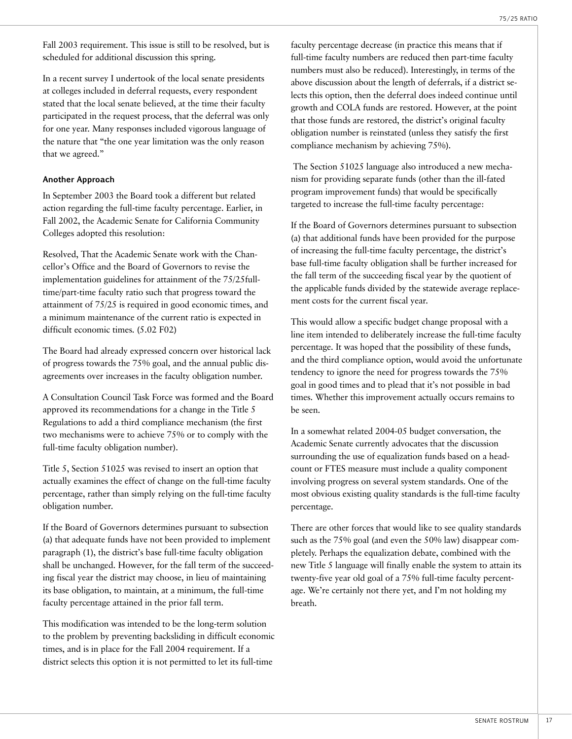Fall 2003 requirement. This issue is still to be resolved, but is scheduled for additional discussion this spring.

In a recent survey I undertook of the local senate presidents at colleges included in deferral requests, every respondent stated that the local senate believed, at the time their faculty participated in the request process, that the deferral was only for one year. Many responses included vigorous language of the nature that "the one year limitation was the only reason that we agreed."

#### **Another Approach**

In September 2003 the Board took a different but related action regarding the full-time faculty percentage. Earlier, in Fall 2002, the Academic Senate for California Community Colleges adopted this resolution:

Resolved, That the Academic Senate work with the Chancellor's Office and the Board of Governors to revise the implementation guidelines for attainment of the 75/25fulltime/part-time faculty ratio such that progress toward the attainment of 75/25 is required in good economic times, and a minimum maintenance of the current ratio is expected in difficult economic times. (5.02 F02)

The Board had already expressed concern over historical lack of progress towards the 75% goal, and the annual public disagreements over increases in the faculty obligation number.

A Consultation Council Task Force was formed and the Board approved its recommendations for a change in the Title 5 Regulations to add a third compliance mechanism (the first two mechanisms were to achieve 75% or to comply with the full-time faculty obligation number).

Title 5, Section 51025 was revised to insert an option that actually examines the effect of change on the full-time faculty percentage, rather than simply relying on the full-time faculty obligation number.

If the Board of Governors determines pursuant to subsection (a) that adequate funds have not been provided to implement paragraph (1), the district's base full-time faculty obligation shall be unchanged. However, for the fall term of the succeeding fiscal year the district may choose, in lieu of maintaining its base obligation, to maintain, at a minimum, the full-time faculty percentage attained in the prior fall term.

This modification was intended to be the long-term solution to the problem by preventing backsliding in difficult economic times, and is in place for the Fall 2004 requirement. If a district selects this option it is not permitted to let its full-time

faculty percentage decrease (in practice this means that if full-time faculty numbers are reduced then part-time faculty numbers must also be reduced). Interestingly, in terms of the above discussion about the length of deferrals, if a district selects this option, then the deferral does indeed continue until growth and COLA funds are restored. However, at the point that those funds are restored, the district's original faculty obligation number is reinstated (unless they satisfy the first compliance mechanism by achieving 75%).

 The Section 51025 language also introduced a new mechanism for providing separate funds (other than the ill-fated program improvement funds) that would be specifically targeted to increase the full-time faculty percentage:

If the Board of Governors determines pursuant to subsection (a) that additional funds have been provided for the purpose of increasing the full-time faculty percentage, the district's base full-time faculty obligation shall be further increased for the fall term of the succeeding fiscal year by the quotient of the applicable funds divided by the statewide average replacement costs for the current fiscal year.

This would allow a specific budget change proposal with a line item intended to deliberately increase the full-time faculty percentage. It was hoped that the possibility of these funds, and the third compliance option, would avoid the unfortunate tendency to ignore the need for progress towards the 75% goal in good times and to plead that it's not possible in bad times. Whether this improvement actually occurs remains to be seen.

In a somewhat related 2004-05 budget conversation, the Academic Senate currently advocates that the discussion surrounding the use of equalization funds based on a headcount or FTES measure must include a quality component involving progress on several system standards. One of the most obvious existing quality standards is the full-time faculty percentage.

There are other forces that would like to see quality standards such as the 75% goal (and even the 50% law) disappear completely. Perhaps the equalization debate, combined with the new Title 5 language will finally enable the system to attain its twenty-five year old goal of a 75% full-time faculty percentage. We're certainly not there yet, and I'm not holding my breath.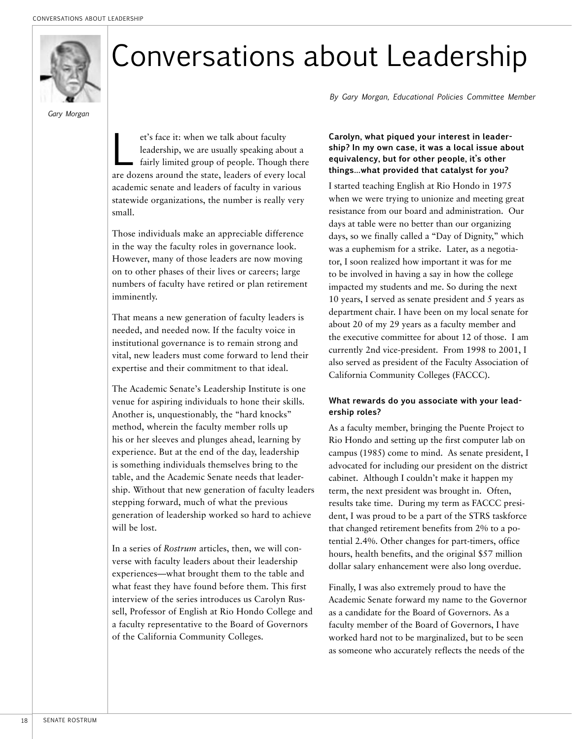

# Conversations about Leadership

*Gary Morgan*

et's face it: when we talk about faculty<br>leadership, we are usually speaking about<br>fairly limited group of people. Though leadership, we are usually speaking about a fairly limited group of people. Though there are dozens around the state, leaders of every local academic senate and leaders of faculty in various statewide organizations, the number is really very small.

Those individuals make an appreciable difference in the way the faculty roles in governance look. However, many of those leaders are now moving on to other phases of their lives or careers; large numbers of faculty have retired or plan retirement imminently.

That means a new generation of faculty leaders is needed, and needed now. If the faculty voice in institutional governance is to remain strong and vital, new leaders must come forward to lend their expertise and their commitment to that ideal.

The Academic Senate's Leadership Institute is one venue for aspiring individuals to hone their skills. Another is, unquestionably, the "hard knocks" method, wherein the faculty member rolls up his or her sleeves and plunges ahead, learning by experience. But at the end of the day, leadership is something individuals themselves bring to the table, and the Academic Senate needs that leadership. Without that new generation of faculty leaders stepping forward, much of what the previous generation of leadership worked so hard to achieve will be lost.

In a series of *Rostrum* articles, then, we will converse with faculty leaders about their leadership experiences—what brought them to the table and what feast they have found before them. This first interview of the series introduces us Carolyn Russell, Professor of English at Rio Hondo College and a faculty representative to the Board of Governors of the California Community Colleges.

*By Gary Morgan, Educational Policies Committee Member*

#### **Carolyn, what piqued your interest in leadership? In my own case, it was a local issue about equivalency, but for other people, it's other things…what provided that catalyst for you?**

I started teaching English at Rio Hondo in 1975 when we were trying to unionize and meeting great resistance from our board and administration. Our days at table were no better than our organizing days, so we finally called a "Day of Dignity," which was a euphemism for a strike. Later, as a negotiator, I soon realized how important it was for me to be involved in having a say in how the college impacted my students and me. So during the next 10 years, I served as senate president and 5 years as department chair. I have been on my local senate for about 20 of my 29 years as a faculty member and the executive committee for about 12 of those. I am currently 2nd vice-president. From 1998 to 2001, I also served as president of the Faculty Association of California Community Colleges (FACCC).

#### **What rewards do you associate with your leadership roles?**

As a faculty member, bringing the Puente Project to Rio Hondo and setting up the first computer lab on campus (1985) come to mind. As senate president, I advocated for including our president on the district cabinet. Although I couldn't make it happen my term, the next president was brought in. Often, results take time. During my term as FACCC president, I was proud to be a part of the STRS taskforce that changed retirement benefits from 2% to a potential 2.4%. Other changes for part-timers, office hours, health benefits, and the original \$57 million dollar salary enhancement were also long overdue.

Finally, I was also extremely proud to have the Academic Senate forward my name to the Governor as a candidate for the Board of Governors. As a faculty member of the Board of Governors, I have worked hard not to be marginalized, but to be seen as someone who accurately reflects the needs of the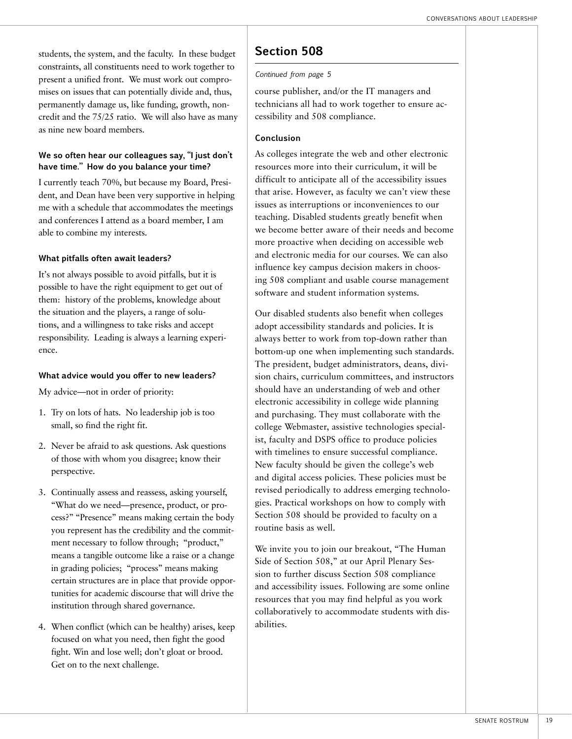students, the system, and the faculty. In these budget constraints, all constituents need to work together to present a unified front. We must work out compromises on issues that can potentially divide and, thus, permanently damage us, like funding, growth, noncredit and the 75/25 ratio. We will also have as many as nine new board members.

#### **We so often hear our colleagues say, "I just don't have time." How do you balance your time?**

I currently teach 70%, but because my Board, President, and Dean have been very supportive in helping me with a schedule that accommodates the meetings and conferences I attend as a board member, I am able to combine my interests.

#### **What pitfalls often await leaders?**

It's not always possible to avoid pitfalls, but it is possible to have the right equipment to get out of them: history of the problems, knowledge about the situation and the players, a range of solutions, and a willingness to take risks and accept responsibility. Leading is always a learning experience.

#### **What advice would you offer to new leaders?**

My advice—not in order of priority:

- 1. Try on lots of hats. No leadership job is too small, so find the right fit.
- 2. Never be afraid to ask questions. Ask questions of those with whom you disagree; know their perspective.
- 3. Continually assess and reassess, asking yourself, "What do we need—presence, product, or process?" "Presence" means making certain the body you represent has the credibility and the commitment necessary to follow through; "product," means a tangible outcome like a raise or a change in grading policies; "process" means making certain structures are in place that provide opportunities for academic discourse that will drive the institution through shared governance.
- 4. When conflict (which can be healthy) arises, keep focused on what you need, then fight the good fight. Win and lose well; don't gloat or brood. Get on to the next challenge.

## **Section 508**

#### *Continued from page 5*

course publisher, and/or the IT managers and technicians all had to work together to ensure accessibility and 508 compliance.

#### **Conclusion**

As colleges integrate the web and other electronic resources more into their curriculum, it will be difficult to anticipate all of the accessibility issues that arise. However, as faculty we can't view these issues as interruptions or inconveniences to our teaching. Disabled students greatly benefit when we become better aware of their needs and become more proactive when deciding on accessible web and electronic media for our courses. We can also influence key campus decision makers in choosing 508 compliant and usable course management software and student information systems.

Our disabled students also benefit when colleges adopt accessibility standards and policies. It is always better to work from top-down rather than bottom-up one when implementing such standards. The president, budget administrators, deans, division chairs, curriculum committees, and instructors should have an understanding of web and other electronic accessibility in college wide planning and purchasing. They must collaborate with the college Webmaster, assistive technologies specialist, faculty and DSPS office to produce policies with timelines to ensure successful compliance. New faculty should be given the college's web and digital access policies. These policies must be revised periodically to address emerging technologies. Practical workshops on how to comply with Section 508 should be provided to faculty on a routine basis as well.

We invite you to join our breakout, "The Human Side of Section 508," at our April Plenary Session to further discuss Section 508 compliance and accessibility issues. Following are some online resources that you may find helpful as you work collaboratively to accommodate students with disabilities.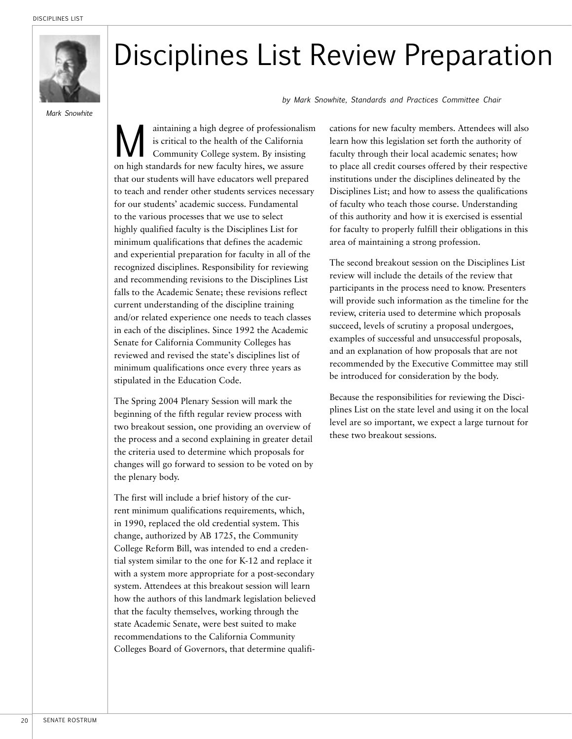

*Mark Snowhite*

## Disciplines List Review Preparation

*by Mark Snowhite, Standards and Practices Committee Chair*

Maintaining a high degree of professionalism<br>is critical to the health of the California<br>Community College system. By insisting<br>on high standards for new faculty hires, we assure is critical to the health of the California Community College system. By insisting on high standards for new faculty hires, we assure that our students will have educators well prepared to teach and render other students services necessary for our students' academic success. Fundamental to the various processes that we use to select highly qualified faculty is the Disciplines List for minimum qualifications that defines the academic and experiential preparation for faculty in all of the recognized disciplines. Responsibility for reviewing and recommending revisions to the Disciplines List falls to the Academic Senate; these revisions reflect current understanding of the discipline training and/or related experience one needs to teach classes in each of the disciplines. Since 1992 the Academic Senate for California Community Colleges has reviewed and revised the state's disciplines list of minimum qualifications once every three years as stipulated in the Education Code.

The Spring 2004 Plenary Session will mark the beginning of the fifth regular review process with two breakout session, one providing an overview of the process and a second explaining in greater detail the criteria used to determine which proposals for changes will go forward to session to be voted on by the plenary body.

The first will include a brief history of the current minimum qualifications requirements, which, in 1990, replaced the old credential system. This change, authorized by AB 1725, the Community College Reform Bill, was intended to end a credential system similar to the one for K-12 and replace it with a system more appropriate for a post-secondary system. Attendees at this breakout session will learn how the authors of this landmark legislation believed that the faculty themselves, working through the state Academic Senate, were best suited to make recommendations to the California Community Colleges Board of Governors, that determine qualifications for new faculty members. Attendees will also learn how this legislation set forth the authority of faculty through their local academic senates; how to place all credit courses offered by their respective institutions under the disciplines delineated by the Disciplines List; and how to assess the qualifications of faculty who teach those course. Understanding of this authority and how it is exercised is essential for faculty to properly fulfill their obligations in this area of maintaining a strong profession.

The second breakout session on the Disciplines List review will include the details of the review that participants in the process need to know. Presenters will provide such information as the timeline for the review, criteria used to determine which proposals succeed, levels of scrutiny a proposal undergoes, examples of successful and unsuccessful proposals, and an explanation of how proposals that are not recommended by the Executive Committee may still be introduced for consideration by the body.

Because the responsibilities for reviewing the Disciplines List on the state level and using it on the local level are so important, we expect a large turnout for these two breakout sessions.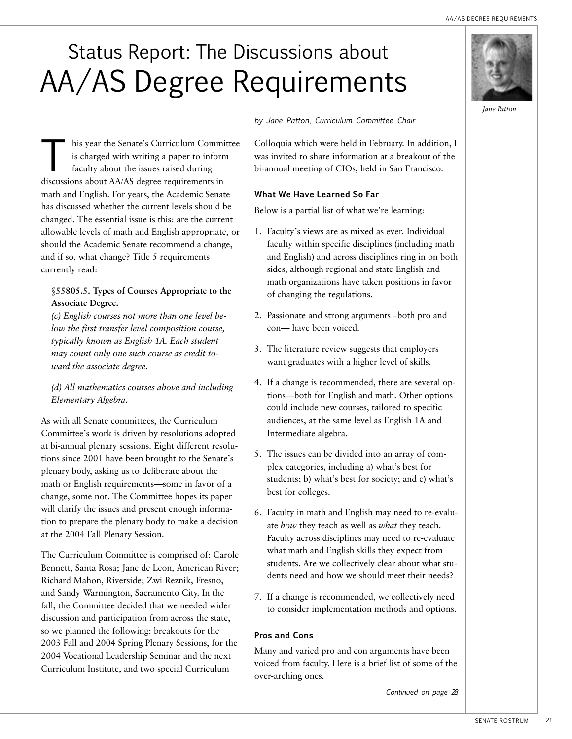## Status Report: The Discussions about AA/AS Degree Requirements

his year the Senate's Curriculum Committee is charged with writing a paper to inform faculty about the issues raised during discussions about AA/AS degree requirements in math and English. For years, the Academic Senate has discussed whether the current levels should be changed. The essential issue is this: are the current allowable levels of math and English appropriate, or should the Academic Senate recommend a change, and if so, what change? Title 5 requirements currently read:

#### **§55805.5. Types of Courses Appropriate to the Associate Degree.**

*(c) English courses not more than one level below the first transfer level composition course, typically known as English 1A. Each student may count only one such course as credit toward the associate degree.*

*(d) All mathematics courses above and including Elementary Algebra.*

As with all Senate committees, the Curriculum Committee's work is driven by resolutions adopted at bi-annual plenary sessions. Eight different resolutions since 2001 have been brought to the Senate's plenary body, asking us to deliberate about the math or English requirements—some in favor of a change, some not. The Committee hopes its paper will clarify the issues and present enough information to prepare the plenary body to make a decision at the 2004 Fall Plenary Session.

The Curriculum Committee is comprised of: Carole Bennett, Santa Rosa; Jane de Leon, American River; Richard Mahon, Riverside; Zwi Reznik, Fresno, and Sandy Warmington, Sacramento City. In the fall, the Committee decided that we needed wider discussion and participation from across the state, so we planned the following: breakouts for the 2003 Fall and 2004 Spring Plenary Sessions, for the 2004 Vocational Leadership Seminar and the next Curriculum Institute, and two special Curriculum

*by Jane Patton, Curriculum Committee Chair*

Colloquia which were held in February. In addition, I was invited to share information at a breakout of the bi-annual meeting of CIOs, held in San Francisco.

#### **What We Have Learned So Far**

Below is a partial list of what we're learning:

- 1. Faculty's views are as mixed as ever. Individual faculty within specific disciplines (including math and English) and across disciplines ring in on both sides, although regional and state English and math organizations have taken positions in favor of changing the regulations.
- 2. Passionate and strong arguments –both pro and con— have been voiced.
- 3. The literature review suggests that employers want graduates with a higher level of skills.
- 4. If a change is recommended, there are several options—both for English and math. Other options could include new courses, tailored to specific audiences, at the same level as English 1A and Intermediate algebra.
- 5. The issues can be divided into an array of complex categories, including a) what's best for students; b) what's best for society; and c) what's best for colleges.
- 6. Faculty in math and English may need to re-evaluate *how* they teach as well as *what* they teach. Faculty across disciplines may need to re-evaluate what math and English skills they expect from students. Are we collectively clear about what students need and how we should meet their needs?
- 7. If a change is recommended, we collectively need to consider implementation methods and options.

#### **Pros and Cons**

Many and varied pro and con arguments have been voiced from faculty. Here is a brief list of some of the over-arching ones.

*Continued on page 28*

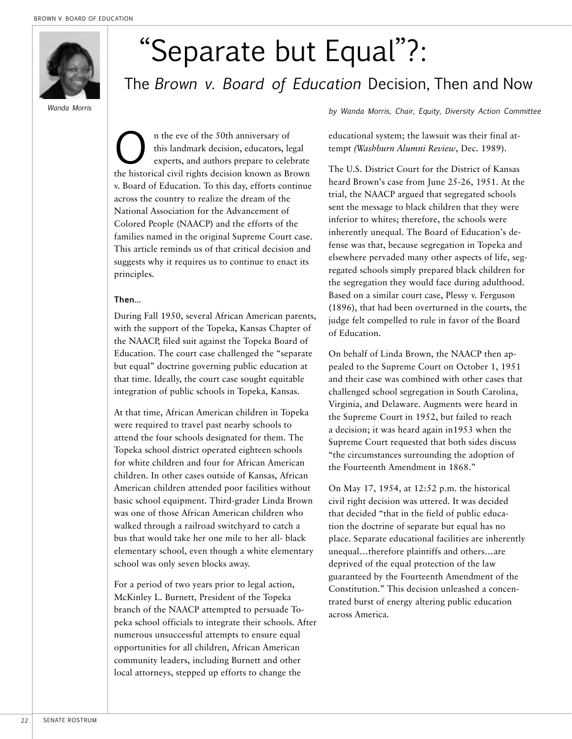

# "Separate but Equal"?:

## The *Brown v. Board of Education* Decision, Then and Now

n the eve of the 50th anniversary of<br>this landmark decision, educators, le<br>experts, and authors prepare to celeb<br>the historical civil rights decision known as Br this landmark decision, educators, legal experts, and authors prepare to celebrate the historical civil rights decision known as Brown v. Board of Education. To this day, efforts continue across the country to realize the dream of the National Association for the Advancement of Colored People (NAACP) and the efforts of the families named in the original Supreme Court case. This article reminds us of that critical decision and suggests why it requires us to continue to enact its principles.

#### **Then…**

During Fall 1950, several African American parents, with the support of the Topeka, Kansas Chapter of the NAACP, filed suit against the Topeka Board of Education. The court case challenged the "separate but equal" doctrine governing public education at that time. Ideally, the court case sought equitable integration of public schools in Topeka, Kansas.

At that time, African American children in Topeka were required to travel past nearby schools to attend the four schools designated for them. The Topeka school district operated eighteen schools for white children and four for African American children. In other cases outside of Kansas, African American children attended poor facilities without basic school equipment. Third-grader Linda Brown was one of those African American children who walked through a railroad switchyard to catch a bus that would take her one mile to her all- black elementary school, even though a white elementary school was only seven blocks away.

For a period of two years prior to legal action, McKinley L. Burnett, President of the Topeka branch of the NAACP attempted to persuade Topeka school officials to integrate their schools. After numerous unsuccessful attempts to ensure equal opportunities for all children, African American community leaders, including Burnett and other local attorneys, stepped up efforts to change the

*by Wanda Morris, Chair, Equity, Diversity Action Committee Wanda Morris*

educational system; the lawsuit was their final attempt *(Washburn Alumni Review*, Dec. 1989).

The U.S. District Court for the District of Kansas heard Brown's case from June 25-26, 1951. At the trial, the NAACP argued that segregated schools sent the message to black children that they were inferior to whites; therefore, the schools were inherently unequal. The Board of Education's defense was that, because segregation in Topeka and elsewhere pervaded many other aspects of life, segregated schools simply prepared black children for the segregation they would face during adulthood. Based on a similar court case, Plessy v. Ferguson (1896), that had been overturned in the courts, the judge felt compelled to rule in favor of the Board of Education.

On behalf of Linda Brown, the NAACP then appealed to the Supreme Court on October 1, 1951 and their case was combined with other cases that challenged school segregation in South Carolina, Virginia, and Delaware. Augments were heard in the Supreme Court in 1952, but failed to reach a decision; it was heard again in1953 when the Supreme Court requested that both sides discuss "the circumstances surrounding the adoption of the Fourteenth Amendment in 1868."

On May 17, 1954, at 12:52 p.m. the historical civil right decision was uttered. It was decided that decided "that in the field of public education the doctrine of separate but equal has no place. Separate educational facilities are inherently unequal…therefore plaintiffs and others…are deprived of the equal protection of the law guaranteed by the Fourteenth Amendment of the Constitution." This decision unleashed a concentrated burst of energy altering public education across America.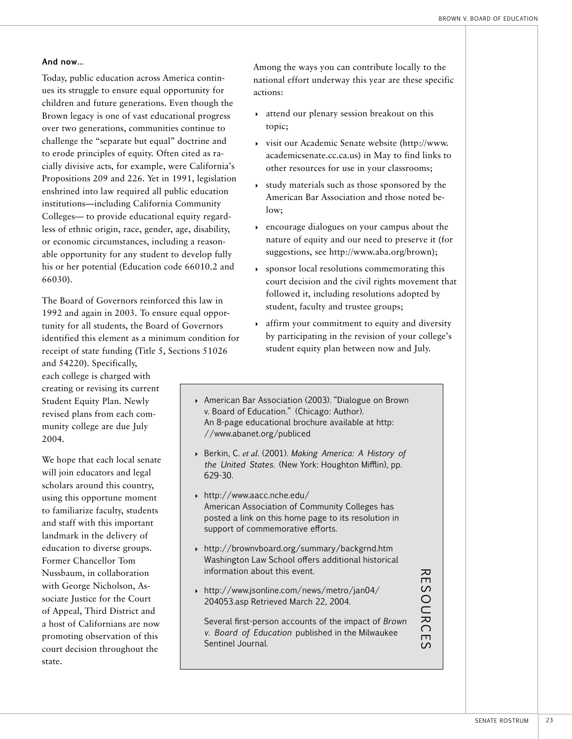#### **And now…**

Today, public education across America continues its struggle to ensure equal opportunity for children and future generations. Even though the Brown legacy is one of vast educational progress over two generations, communities continue to challenge the "separate but equal" doctrine and to erode principles of equity. Often cited as racially divisive acts, for example, were California's Propositions 209 and 226. Yet in 1991, legislation enshrined into law required all public education institutions—including California Community Colleges— to provide educational equity regardless of ethnic origin, race, gender, age, disability, or economic circumstances, including a reasonable opportunity for any student to develop fully his or her potential (Education code 66010.2 and 66030).

The Board of Governors reinforced this law in 1992 and again in 2003. To ensure equal opportunity for all students, the Board of Governors identified this element as a minimum condition for receipt of state funding (Title 5, Sections 51026

and 54220). Specifically, each college is charged with creating or revising its current Student Equity Plan. Newly revised plans from each community college are due July 2004.

We hope that each local senate will join educators and legal scholars around this country, using this opportune moment to familiarize faculty, students and staff with this important landmark in the delivery of education to diverse groups. Former Chancellor Tom Nussbaum, in collaboration with George Nicholson, Associate Justice for the Court of Appeal, Third District and a host of Californians are now promoting observation of this court decision throughout the state.

Among the ways you can contribute locally to the national effort underway this year are these specific actions:

- 4 attend our plenary session breakout on this topic;
- 4 visit our Academic Senate website (http://www. academicsenate.cc.ca.us) in May to find links to other resources for use in your classrooms;
- $\rightarrow$  study materials such as those sponsored by the American Bar Association and those noted below;
- 4 encourage dialogues on your campus about the nature of equity and our need to preserve it (for suggestions, see http://www.aba.org/brown);
- $\rightarrow$  sponsor local resolutions commemorating this court decision and the civil rights movement that followed it, including resolutions adopted by student, faculty and trustee groups;
- 4 affirm your commitment to equity and diversity by participating in the revision of your college's student equity plan between now and July.
- 4 American Bar Association (2003). "Dialogue on Brown v. Board of Education." (Chicago: Author). An 8-page educational brochure available at http: //www.abanet.org/publiced
- 4 Berkin, C. *et al*. (2001). *Making America: A History of the United States.* (New York: Houghton Mifflin), pp. 629-30.
- 4 http://www.aacc.nche.edu/ American Association of Community Colleges has posted a link on this home page to its resolution in support of commemorative efforts.
- 4 http://brownvboard.org/summary/backgrnd.htm Washington Law School offers additional historical information about this event.
- 4 http://www.jsonline.com/news/metro/jan04/ 204053.asp Retrieved March 22, 2004.

Several first-person accounts of the impact of *Brown v. Board of Education* published in the Milwaukee Sentinel Journal.

RESO URCE

 $\overline{S}$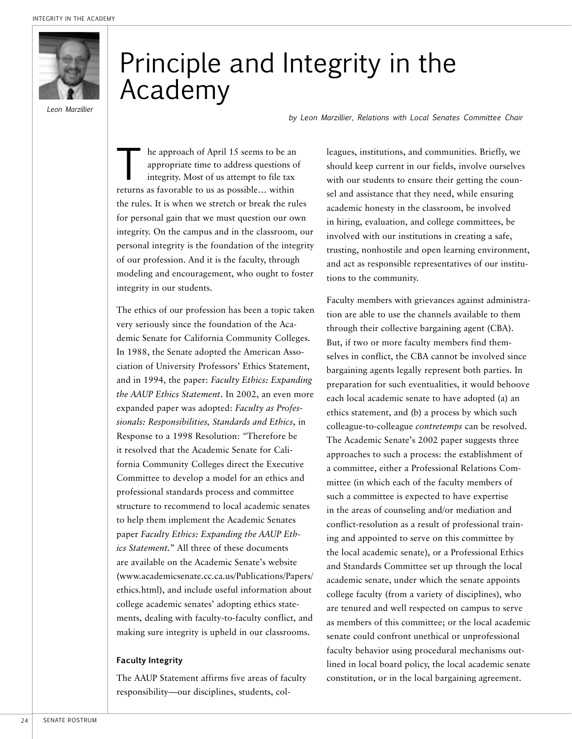

*Leon Marzillier*

## Principle and Integrity in the Academy

*by Leon Marzillier, Relations with Local Senates Committee Chair* 

the approach of April 15 seems to be an appropriate time to address questions of integrity. Most of us at nossible within appropriate time to address questions of integrity. Most of us attempt to file tax returns as favorable to us as possible… within the rules. It is when we stretch or break the rules for personal gain that we must question our own integrity. On the campus and in the classroom, our personal integrity is the foundation of the integrity of our profession. And it is the faculty, through modeling and encouragement, who ought to foster integrity in our students.

The ethics of our profession has been a topic taken very seriously since the foundation of the Academic Senate for California Community Colleges. In 1988, the Senate adopted the American Association of University Professors' Ethics Statement, and in 1994, the paper: *Faculty Ethics: Expanding the AAUP Ethics Statement*. In 2002, an even more expanded paper was adopted: *Faculty as Professionals: Responsibilities, Standards and Ethics*, in Response to a 1998 Resolution: *"*Therefore be it resolved that the Academic Senate for California Community Colleges direct the Executive Committee to develop a model for an ethics and professional standards process and committee structure to recommend to local academic senates to help them implement the Academic Senates paper *Faculty Ethics: Expanding the AAUP Ethics Statement.*" All three of these documents are available on the Academic Senate's website (www.academicsenate.cc.ca.us/Publications/Papers/ ethics.html), and include useful information about college academic senates' adopting ethics statements, dealing with faculty-to-faculty conflict, and making sure integrity is upheld in our classrooms.

#### **Faculty Integrity**

The AAUP Statement affirms five areas of faculty responsibility—our disciplines, students, col-

leagues, institutions, and communities. Briefly, we should keep current in our fields, involve ourselves with our students to ensure their getting the counsel and assistance that they need, while ensuring academic honesty in the classroom, be involved in hiring, evaluation, and college committees, be involved with our institutions in creating a safe, trusting, nonhostile and open learning environment, and act as responsible representatives of our institutions to the community.

Faculty members with grievances against administration are able to use the channels available to them through their collective bargaining agent (CBA). But, if two or more faculty members find themselves in conflict, the CBA cannot be involved since bargaining agents legally represent both parties. In preparation for such eventualities, it would behoove each local academic senate to have adopted (a) an ethics statement, and (b) a process by which such colleague-to-colleague *contretemps* can be resolved. The Academic Senate's 2002 paper suggests three approaches to such a process: the establishment of a committee, either a Professional Relations Committee (in which each of the faculty members of such a committee is expected to have expertise in the areas of counseling and/or mediation and conflict-resolution as a result of professional training and appointed to serve on this committee by the local academic senate), or a Professional Ethics and Standards Committee set up through the local academic senate, under which the senate appoints college faculty (from a variety of disciplines), who are tenured and well respected on campus to serve as members of this committee; or the local academic senate could confront unethical or unprofessional faculty behavior using procedural mechanisms outlined in local board policy, the local academic senate constitution, or in the local bargaining agreement.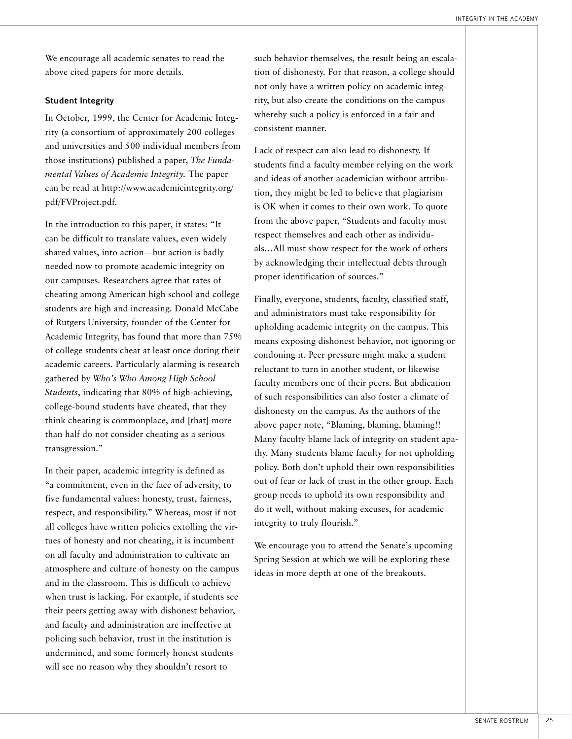We encourage all academic senates to read the above cited papers for more details.

#### **Student Integrity**

In October, 1999, the Center for Academic Integrity (a consortium of approximately 200 colleges and universities and 500 individual members from those institutions) published a paper, *The Fundamental Values of Academic Integrity.* The paper can be read at http://www.academicintegrity.org/ pdf/FVProject.pdf.

In the introduction to this paper, it states: "It can be difficult to translate values, even widely shared values, into action—but action is badly needed now to promote academic integrity on our campuses. Researchers agree that rates of cheating among American high school and college students are high and increasing. Donald McCabe of Rutgers University, founder of the Center for Academic Integrity, has found that more than 75% of college students cheat at least once during their academic careers. Particularly alarming is research gathered by *Who's Who Among High School Students*, indicating that 80% of high-achieving, college-bound students have cheated, that they think cheating is commonplace, and [that] more than half do not consider cheating as a serious transgression."

In their paper, academic integrity is defined as "a commitment, even in the face of adversity, to five fundamental values: honesty, trust, fairness, respect, and responsibility." Whereas, most if not all colleges have written policies extolling the virtues of honesty and not cheating, it is incumbent on all faculty and administration to cultivate an atmosphere and culture of honesty on the campus and in the classroom. This is difficult to achieve when trust is lacking. For example, if students see their peers getting away with dishonest behavior, and faculty and administration are ineffective at policing such behavior, trust in the institution is undermined, and some formerly honest students will see no reason why they shouldn't resort to

such behavior themselves, the result being an escalation of dishonesty. For that reason, a college should not only have a written policy on academic integrity, but also create the conditions on the campus whereby such a policy is enforced in a fair and consistent manner.

Lack of respect can also lead to dishonesty. If students find a faculty member relying on the work and ideas of another academician without attribution, they might be led to believe that plagiarism is OK when it comes to their own work. To quote from the above paper, "Students and faculty must respect themselves and each other as individuals…All must show respect for the work of others by acknowledging their intellectual debts through proper identification of sources."

Finally, everyone, students, faculty, classified staff, and administrators must take responsibility for upholding academic integrity on the campus. This means exposing dishonest behavior, not ignoring or condoning it. Peer pressure might make a student reluctant to turn in another student, or likewise faculty members one of their peers. But abdication of such responsibilities can also foster a climate of dishonesty on the campus. As the authors of the above paper note, "Blaming, blaming, blaming!! Many faculty blame lack of integrity on student apathy. Many students blame faculty for not upholding policy. Both don't uphold their own responsibilities out of fear or lack of trust in the other group. Each group needs to uphold its own responsibility and do it well, without making excuses, for academic integrity to truly flourish."

We encourage you to attend the Senate's upcoming Spring Session at which we will be exploring these ideas in more depth at one of the breakouts.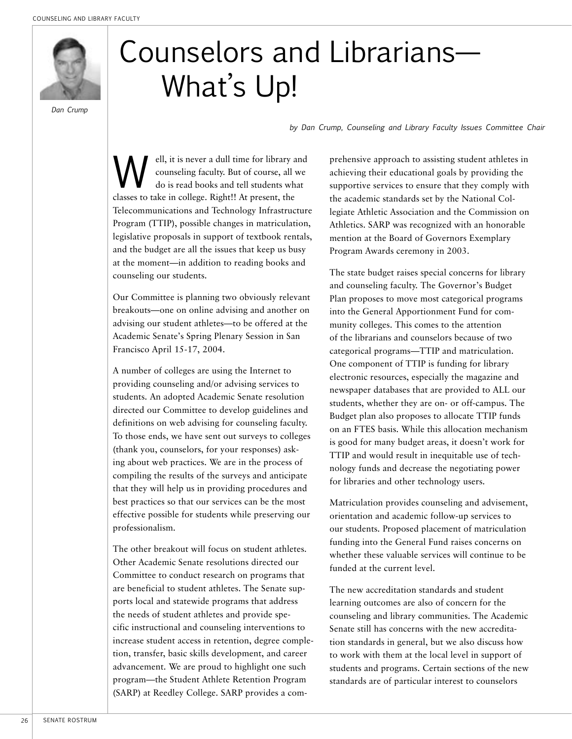

*Dan Crump*

# Counselors and Librarians— What's Up!

*by Dan Crump, Counseling and Library Faculty Issues Committee Chair*

**W** ell, it is never a dull time for library and<br>counseling faculty. But of course, all we<br>do is read books and tell students what counseling faculty. But of course, all we do is read books and tell students what classes to take in college. Right!! At present, the Telecommunications and Technology Infrastructure Program (TTIP), possible changes in matriculation, legislative proposals in support of textbook rentals, and the budget are all the issues that keep us busy at the moment—in addition to reading books and counseling our students.

Our Committee is planning two obviously relevant breakouts—one on online advising and another on advising our student athletes—to be offered at the Academic Senate's Spring Plenary Session in San Francisco April 15-17, 2004.

A number of colleges are using the Internet to providing counseling and/or advising services to students. An adopted Academic Senate resolution directed our Committee to develop guidelines and definitions on web advising for counseling faculty. To those ends, we have sent out surveys to colleges (thank you, counselors, for your responses) asking about web practices. We are in the process of compiling the results of the surveys and anticipate that they will help us in providing procedures and best practices so that our services can be the most effective possible for students while preserving our professionalism.

The other breakout will focus on student athletes. Other Academic Senate resolutions directed our Committee to conduct research on programs that are beneficial to student athletes. The Senate supports local and statewide programs that address the needs of student athletes and provide specific instructional and counseling interventions to increase student access in retention, degree completion, transfer, basic skills development, and career advancement. We are proud to highlight one such program—the Student Athlete Retention Program (SARP) at Reedley College. SARP provides a comprehensive approach to assisting student athletes in achieving their educational goals by providing the supportive services to ensure that they comply with the academic standards set by the National Collegiate Athletic Association and the Commission on Athletics. SARP was recognized with an honorable mention at the Board of Governors Exemplary Program Awards ceremony in 2003.

The state budget raises special concerns for library and counseling faculty. The Governor's Budget Plan proposes to move most categorical programs into the General Apportionment Fund for community colleges. This comes to the attention of the librarians and counselors because of two categorical programs—TTIP and matriculation. One component of TTIP is funding for library electronic resources, especially the magazine and newspaper databases that are provided to ALL our students, whether they are on- or off-campus. The Budget plan also proposes to allocate TTIP funds on an FTES basis. While this allocation mechanism is good for many budget areas, it doesn't work for TTIP and would result in inequitable use of technology funds and decrease the negotiating power for libraries and other technology users.

Matriculation provides counseling and advisement, orientation and academic follow-up services to our students. Proposed placement of matriculation funding into the General Fund raises concerns on whether these valuable services will continue to be funded at the current level.

The new accreditation standards and student learning outcomes are also of concern for the counseling and library communities. The Academic Senate still has concerns with the new accreditation standards in general, but we also discuss how to work with them at the local level in support of students and programs. Certain sections of the new standards are of particular interest to counselors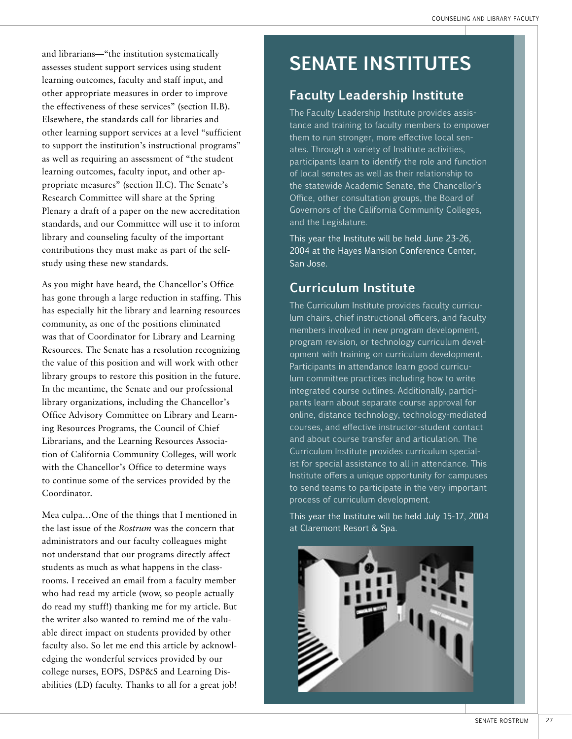and librarians—"the institution systematically assesses student support services using student learning outcomes, faculty and staff input, and other appropriate measures in order to improve the effectiveness of these services" (section II.B). Elsewhere, the standards call for libraries and other learning support services at a level "sufficient to support the institution's instructional programs" as well as requiring an assessment of "the student learning outcomes, faculty input, and other appropriate measures" (section II.C). The Senate's Research Committee will share at the Spring Plenary a draft of a paper on the new accreditation standards, and our Committee will use it to inform library and counseling faculty of the important contributions they must make as part of the selfstudy using these new standards.

As you might have heard, the Chancellor's Office has gone through a large reduction in staffing. This has especially hit the library and learning resources community, as one of the positions eliminated was that of Coordinator for Library and Learning Resources. The Senate has a resolution recognizing the value of this position and will work with other library groups to restore this position in the future. In the meantime, the Senate and our professional library organizations, including the Chancellor's Office Advisory Committee on Library and Learning Resources Programs, the Council of Chief Librarians, and the Learning Resources Association of California Community Colleges, will work with the Chancellor's Office to determine ways to continue some of the services provided by the Coordinator.

Mea culpa…One of the things that I mentioned in the last issue of the *Rostrum* was the concern that administrators and our faculty colleagues might not understand that our programs directly affect students as much as what happens in the classrooms. I received an email from a faculty member who had read my article (wow, so people actually do read my stuff!) thanking me for my article. But the writer also wanted to remind me of the valuable direct impact on students provided by other faculty also. So let me end this article by acknowledging the wonderful services provided by our college nurses, EOPS, DSP&S and Learning Disabilities (LD) faculty. Thanks to all for a great job!

## **SENATE INSTITUTES**

## **Faculty Leadership Institute**

The Faculty Leadership Institute provides assistance and training to faculty members to empower them to run stronger, more effective local senates. Through a variety of Institute activities, participants learn to identify the role and function of local senates as well as their relationship to the statewide Academic Senate, the Chancellor's Office, other consultation groups, the Board of Governors of the California Community Colleges, and the Legislature.

This year the Institute will be held June 23-26, 2004 at the Hayes Mansion Conference Center, San Jose.

## **Curriculum Institute**

The Curriculum Institute provides faculty curriculum chairs, chief instructional officers, and faculty members involved in new program development, program revision, or technology curriculum development with training on curriculum development. Participants in attendance learn good curriculum committee practices including how to write integrated course outlines. Additionally, participants learn about separate course approval for online, distance technology, technology-mediated courses, and effective instructor-student contact and about course transfer and articulation. The Curriculum Institute provides curriculum specialist for special assistance to all in attendance. This Institute offers a unique opportunity for campuses to send teams to participate in the very important process of curriculum development.

This year the Institute will be held July 15-17, 2004 at Claremont Resort & Spa.